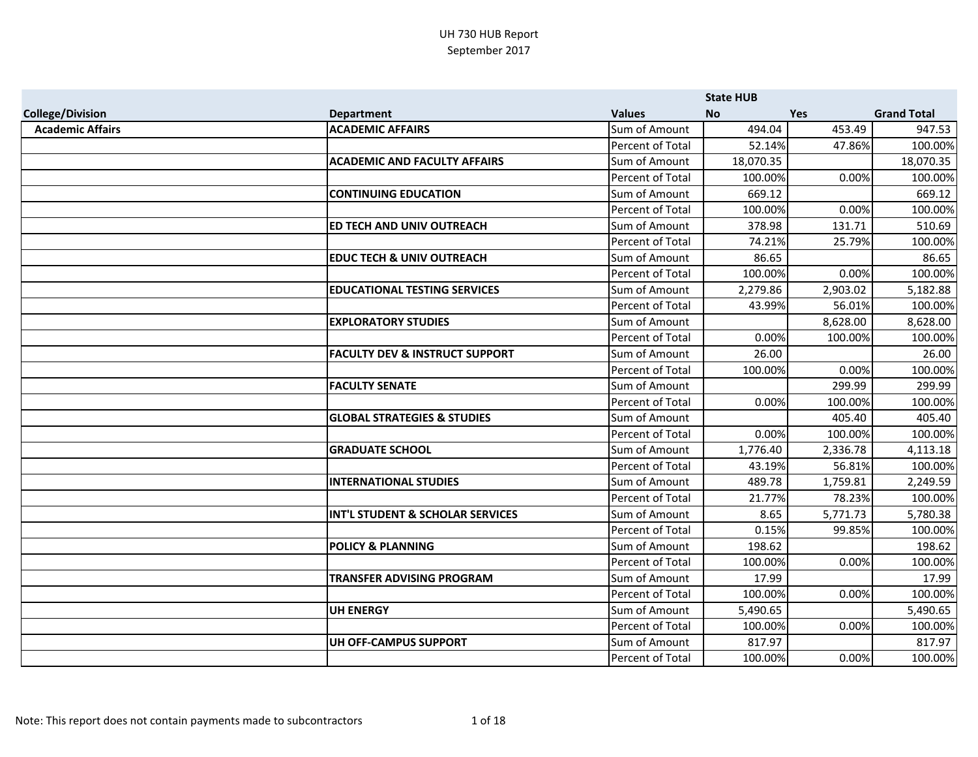|                         |                                             |                         | <b>State HUB</b> |            |                    |
|-------------------------|---------------------------------------------|-------------------------|------------------|------------|--------------------|
| <b>College/Division</b> | <b>Department</b>                           | <b>Values</b>           | <b>No</b>        | <b>Yes</b> | <b>Grand Total</b> |
| <b>Academic Affairs</b> | <b>ACADEMIC AFFAIRS</b>                     | Sum of Amount           | 494.04           | 453.49     | 947.53             |
|                         |                                             | Percent of Total        | 52.14%           | 47.86%     | 100.00%            |
|                         | <b>ACADEMIC AND FACULTY AFFAIRS</b>         | Sum of Amount           | 18,070.35        |            | 18,070.35          |
|                         |                                             | Percent of Total        | 100.00%          | 0.00%      | 100.00%            |
|                         | <b>CONTINUING EDUCATION</b>                 | Sum of Amount           | 669.12           |            | 669.12             |
|                         |                                             | Percent of Total        | 100.00%          | 0.00%      | 100.00%            |
|                         | ED TECH AND UNIV OUTREACH                   | Sum of Amount           | 378.98           | 131.71     | 510.69             |
|                         |                                             | Percent of Total        | 74.21%           | 25.79%     | 100.00%            |
|                         | <b>EDUC TECH &amp; UNIV OUTREACH</b>        | Sum of Amount           | 86.65            |            | 86.65              |
|                         |                                             | Percent of Total        | 100.00%          | 0.00%      | 100.00%            |
|                         | <b>EDUCATIONAL TESTING SERVICES</b>         | Sum of Amount           | 2,279.86         | 2,903.02   | 5,182.88           |
|                         |                                             | Percent of Total        | 43.99%           | 56.01%     | 100.00%            |
|                         | <b>EXPLORATORY STUDIES</b>                  | Sum of Amount           |                  | 8,628.00   | 8,628.00           |
|                         |                                             | Percent of Total        | 0.00%            | 100.00%    | 100.00%            |
|                         | <b>FACULTY DEV &amp; INSTRUCT SUPPORT</b>   | Sum of Amount           | 26.00            |            | 26.00              |
|                         |                                             | Percent of Total        | 100.00%          | 0.00%      | 100.00%            |
|                         | <b>FACULTY SENATE</b>                       | Sum of Amount           |                  | 299.99     | 299.99             |
|                         |                                             | Percent of Total        | 0.00%            | 100.00%    | 100.00%            |
|                         | <b>GLOBAL STRATEGIES &amp; STUDIES</b>      | Sum of Amount           |                  | 405.40     | 405.40             |
|                         |                                             | Percent of Total        | 0.00%            | 100.00%    | 100.00%            |
|                         | <b>GRADUATE SCHOOL</b>                      | Sum of Amount           | 1,776.40         | 2,336.78   | 4,113.18           |
|                         |                                             | Percent of Total        | 43.19%           | 56.81%     | 100.00%            |
|                         | <b>INTERNATIONAL STUDIES</b>                | Sum of Amount           | 489.78           | 1,759.81   | 2,249.59           |
|                         |                                             | Percent of Total        | 21.77%           | 78.23%     | 100.00%            |
|                         | <b>INT'L STUDENT &amp; SCHOLAR SERVICES</b> | Sum of Amount           | 8.65             | 5,771.73   | 5,780.38           |
|                         |                                             | Percent of Total        | 0.15%            | 99.85%     | 100.00%            |
|                         | <b>POLICY &amp; PLANNING</b>                | Sum of Amount           | 198.62           |            | 198.62             |
|                         |                                             | <b>Percent of Total</b> | 100.00%          | 0.00%      | 100.00%            |
|                         | <b>TRANSFER ADVISING PROGRAM</b>            | Sum of Amount           | 17.99            |            | 17.99              |
|                         |                                             | Percent of Total        | 100.00%          | 0.00%      | 100.00%            |
|                         | <b>UH ENERGY</b>                            | Sum of Amount           | 5,490.65         |            | 5,490.65           |
|                         |                                             | Percent of Total        | 100.00%          | 0.00%      | 100.00%            |
|                         | <b>UH OFF-CAMPUS SUPPORT</b>                | Sum of Amount           | 817.97           |            | 817.97             |
|                         |                                             | <b>Percent of Total</b> | 100.00%          | 0.00%      | 100.00%            |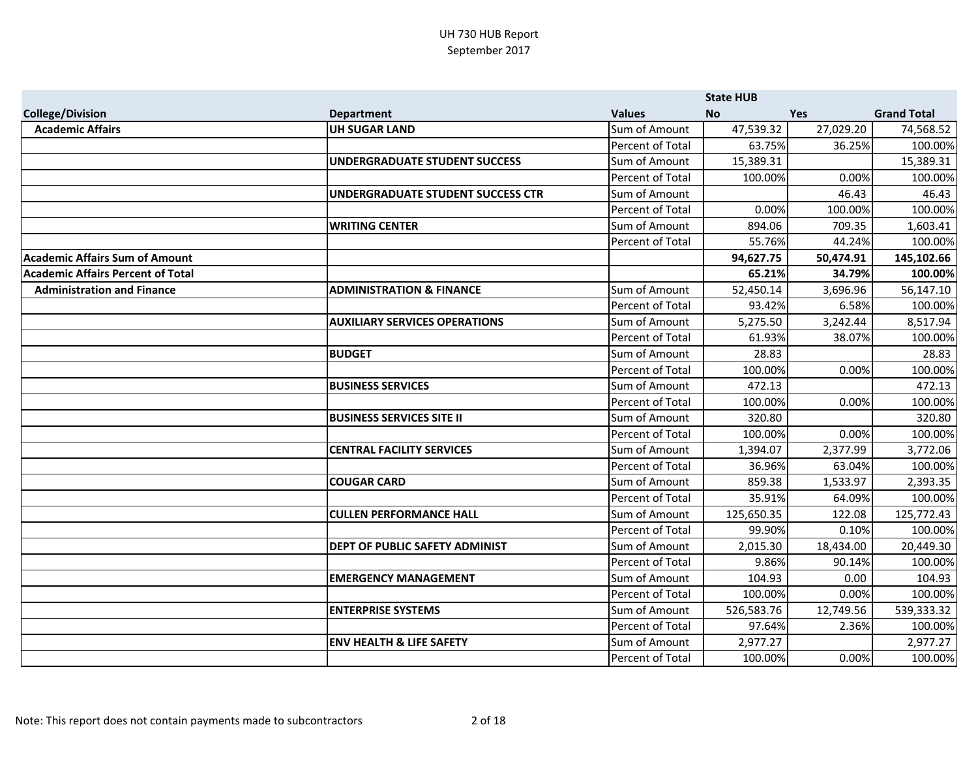|                                          |                                          |                         | <b>State HUB</b> |            |                    |
|------------------------------------------|------------------------------------------|-------------------------|------------------|------------|--------------------|
| <b>College/Division</b>                  | <b>Department</b>                        | <b>Values</b>           | <b>No</b>        | <b>Yes</b> | <b>Grand Total</b> |
| <b>Academic Affairs</b>                  | <b>UH SUGAR LAND</b>                     | Sum of Amount           | 47,539.32        | 27,029.20  | 74,568.52          |
|                                          |                                          | Percent of Total        | 63.75%           | 36.25%     | 100.00%            |
|                                          | <b>UNDERGRADUATE STUDENT SUCCESS</b>     | Sum of Amount           | 15,389.31        |            | 15,389.31          |
|                                          |                                          | Percent of Total        | 100.00%          | 0.00%      | 100.00%            |
|                                          | <b>UNDERGRADUATE STUDENT SUCCESS CTR</b> | Sum of Amount           |                  | 46.43      | 46.43              |
|                                          |                                          | Percent of Total        | 0.00%            | 100.00%    | 100.00%            |
|                                          | <b>WRITING CENTER</b>                    | Sum of Amount           | 894.06           | 709.35     | 1,603.41           |
|                                          |                                          | Percent of Total        | 55.76%           | 44.24%     | 100.00%            |
| <b>Academic Affairs Sum of Amount</b>    |                                          |                         | 94,627.75        | 50,474.91  | 145,102.66         |
| <b>Academic Affairs Percent of Total</b> |                                          |                         | 65.21%           | 34.79%     | 100.00%            |
| <b>Administration and Finance</b>        | <b>ADMINISTRATION &amp; FINANCE</b>      | Sum of Amount           | 52,450.14        | 3,696.96   | 56,147.10          |
|                                          |                                          | <b>Percent of Total</b> | 93.42%           | 6.58%      | 100.00%            |
|                                          | <b>AUXILIARY SERVICES OPERATIONS</b>     | Sum of Amount           | 5,275.50         | 3,242.44   | 8,517.94           |
|                                          |                                          | Percent of Total        | 61.93%           | 38.07%     | 100.00%            |
|                                          | <b>BUDGET</b>                            | Sum of Amount           | 28.83            |            | 28.83              |
|                                          |                                          | <b>Percent of Total</b> | 100.00%          | 0.00%      | 100.00%            |
|                                          | <b>BUSINESS SERVICES</b>                 | Sum of Amount           | 472.13           |            | 472.13             |
|                                          |                                          | Percent of Total        | 100.00%          | 0.00%      | 100.00%            |
|                                          | <b>BUSINESS SERVICES SITE II</b>         | Sum of Amount           | 320.80           |            | 320.80             |
|                                          |                                          | Percent of Total        | 100.00%          | 0.00%      | 100.00%            |
|                                          | <b>CENTRAL FACILITY SERVICES</b>         | Sum of Amount           | 1,394.07         | 2,377.99   | 3,772.06           |
|                                          |                                          | Percent of Total        | 36.96%           | 63.04%     | 100.00%            |
|                                          | <b>COUGAR CARD</b>                       | Sum of Amount           | 859.38           | 1,533.97   | 2,393.35           |
|                                          |                                          | Percent of Total        | 35.91%           | 64.09%     | 100.00%            |
|                                          | <b>CULLEN PERFORMANCE HALL</b>           | Sum of Amount           | 125,650.35       | 122.08     | 125,772.43         |
|                                          |                                          | Percent of Total        | 99.90%           | 0.10%      | 100.00%            |
|                                          | DEPT OF PUBLIC SAFETY ADMINIST           | Sum of Amount           | 2,015.30         | 18,434.00  | 20,449.30          |
|                                          |                                          | Percent of Total        | 9.86%            | 90.14%     | 100.00%            |
|                                          | <b>EMERGENCY MANAGEMENT</b>              | Sum of Amount           | 104.93           | 0.00       | 104.93             |
|                                          |                                          | Percent of Total        | 100.00%          | 0.00%      | 100.00%            |
|                                          | <b>ENTERPRISE SYSTEMS</b>                | Sum of Amount           | 526,583.76       | 12,749.56  | 539,333.32         |
|                                          |                                          | Percent of Total        | 97.64%           | 2.36%      | 100.00%            |
|                                          | <b>ENV HEALTH &amp; LIFE SAFETY</b>      | Sum of Amount           | 2,977.27         |            | 2,977.27           |
|                                          |                                          | Percent of Total        | 100.00%          | 0.00%      | 100.00%            |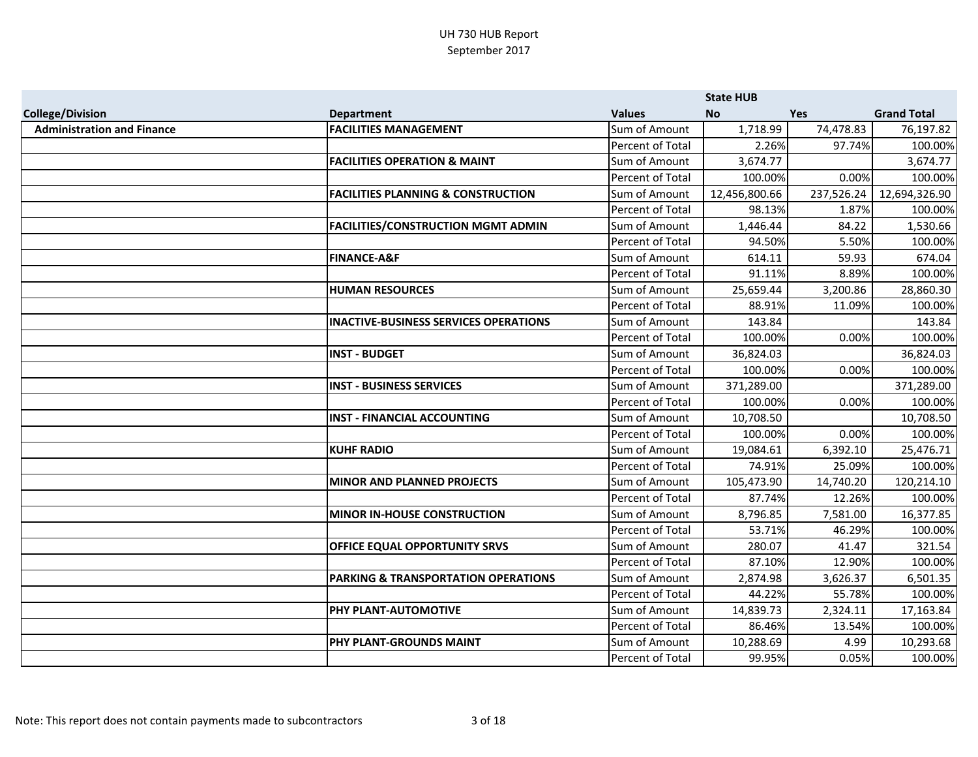|                                   |                                                |                         | <b>State HUB</b> |            |                    |
|-----------------------------------|------------------------------------------------|-------------------------|------------------|------------|--------------------|
| <b>College/Division</b>           | <b>Department</b>                              | <b>Values</b>           | <b>No</b>        | <b>Yes</b> | <b>Grand Total</b> |
| <b>Administration and Finance</b> | <b>FACILITIES MANAGEMENT</b>                   | Sum of Amount           | 1,718.99         | 74,478.83  | 76,197.82          |
|                                   |                                                | Percent of Total        | 2.26%            | 97.74%     | 100.00%            |
|                                   | <b>FACILITIES OPERATION &amp; MAINT</b>        | Sum of Amount           | 3,674.77         |            | 3,674.77           |
|                                   |                                                | Percent of Total        | 100.00%          | 0.00%      | 100.00%            |
|                                   | <b>FACILITIES PLANNING &amp; CONSTRUCTION</b>  | Sum of Amount           | 12,456,800.66    | 237,526.24 | 12,694,326.90      |
|                                   |                                                | <b>Percent of Total</b> | 98.13%           | 1.87%      | 100.00%            |
|                                   | <b>FACILITIES/CONSTRUCTION MGMT ADMIN</b>      | Sum of Amount           | 1,446.44         | 84.22      | 1,530.66           |
|                                   |                                                | Percent of Total        | 94.50%           | 5.50%      | 100.00%            |
|                                   | <b>FINANCE-A&amp;F</b>                         | Sum of Amount           | 614.11           | 59.93      | 674.04             |
|                                   |                                                | Percent of Total        | 91.11%           | 8.89%      | 100.00%            |
|                                   | <b>HUMAN RESOURCES</b>                         | Sum of Amount           | 25,659.44        | 3,200.86   | 28,860.30          |
|                                   |                                                | Percent of Total        | 88.91%           | 11.09%     | 100.00%            |
|                                   | <b>INACTIVE-BUSINESS SERVICES OPERATIONS</b>   | Sum of Amount           | 143.84           |            | 143.84             |
|                                   |                                                | Percent of Total        | 100.00%          | 0.00%      | 100.00%            |
|                                   | <b>INST - BUDGET</b>                           | Sum of Amount           | 36,824.03        |            | 36,824.03          |
|                                   |                                                | Percent of Total        | 100.00%          | 0.00%      | 100.00%            |
|                                   | <b>INST - BUSINESS SERVICES</b>                | Sum of Amount           | 371,289.00       |            | 371,289.00         |
|                                   |                                                | Percent of Total        | 100.00%          | 0.00%      | 100.00%            |
|                                   | <b>INST - FINANCIAL ACCOUNTING</b>             | Sum of Amount           | 10,708.50        |            | 10,708.50          |
|                                   |                                                | Percent of Total        | 100.00%          | 0.00%      | 100.00%            |
|                                   | <b>KUHF RADIO</b>                              | Sum of Amount           | 19,084.61        | 6,392.10   | 25,476.71          |
|                                   |                                                | Percent of Total        | 74.91%           | 25.09%     | 100.00%            |
|                                   | <b>MINOR AND PLANNED PROJECTS</b>              | Sum of Amount           | 105,473.90       | 14,740.20  | 120,214.10         |
|                                   |                                                | Percent of Total        | 87.74%           | 12.26%     | 100.00%            |
|                                   | <b>MINOR IN-HOUSE CONSTRUCTION</b>             | Sum of Amount           | 8,796.85         | 7,581.00   | 16,377.85          |
|                                   |                                                | Percent of Total        | 53.71%           | 46.29%     | 100.00%            |
|                                   | <b>OFFICE EQUAL OPPORTUNITY SRVS</b>           | Sum of Amount           | 280.07           | 41.47      | 321.54             |
|                                   |                                                | Percent of Total        | 87.10%           | 12.90%     | 100.00%            |
|                                   | <b>PARKING &amp; TRANSPORTATION OPERATIONS</b> | Sum of Amount           | 2,874.98         | 3,626.37   | 6,501.35           |
|                                   |                                                | Percent of Total        | 44.22%           | 55.78%     | 100.00%            |
|                                   | PHY PLANT-AUTOMOTIVE                           | Sum of Amount           | 14,839.73        | 2,324.11   | 17,163.84          |
|                                   |                                                | Percent of Total        | 86.46%           | 13.54%     | 100.00%            |
|                                   | PHY PLANT-GROUNDS MAINT                        | Sum of Amount           | 10,288.69        | 4.99       | 10,293.68          |
|                                   |                                                | Percent of Total        | 99.95%           | 0.05%      | 100.00%            |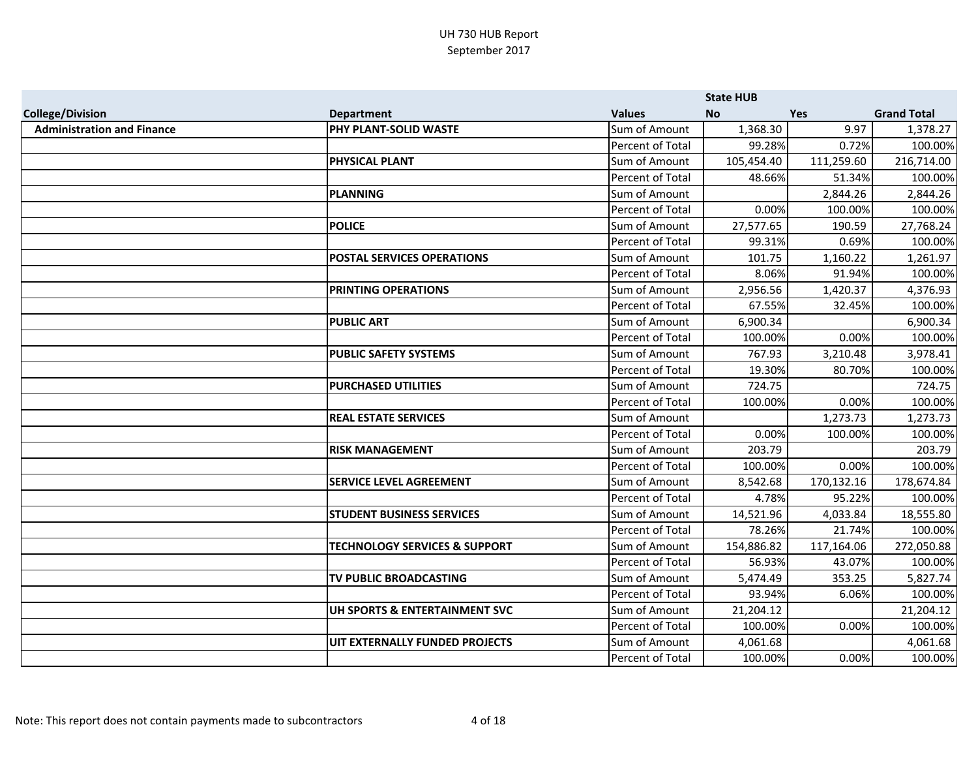|                                   |                                          |                         | <b>State HUB</b> |            |                    |
|-----------------------------------|------------------------------------------|-------------------------|------------------|------------|--------------------|
| <b>College/Division</b>           | <b>Department</b>                        | <b>Values</b>           | <b>No</b>        | <b>Yes</b> | <b>Grand Total</b> |
| <b>Administration and Finance</b> | PHY PLANT-SOLID WASTE                    | Sum of Amount           | 1,368.30         | 9.97       | 1,378.27           |
|                                   |                                          | Percent of Total        | 99.28%           | 0.72%      | 100.00%            |
|                                   | PHYSICAL PLANT                           | Sum of Amount           | 105,454.40       | 111,259.60 | 216,714.00         |
|                                   |                                          | Percent of Total        | 48.66%           | 51.34%     | 100.00%            |
|                                   | <b>PLANNING</b>                          | Sum of Amount           |                  | 2,844.26   | 2,844.26           |
|                                   |                                          | <b>Percent of Total</b> | 0.00%            | 100.00%    | 100.00%            |
|                                   | <b>POLICE</b>                            | Sum of Amount           | 27,577.65        | 190.59     | 27,768.24          |
|                                   |                                          | Percent of Total        | 99.31%           | 0.69%      | 100.00%            |
|                                   | <b>POSTAL SERVICES OPERATIONS</b>        | Sum of Amount           | 101.75           | 1,160.22   | 1,261.97           |
|                                   |                                          | Percent of Total        | 8.06%            | 91.94%     | 100.00%            |
|                                   | <b>PRINTING OPERATIONS</b>               | Sum of Amount           | 2,956.56         | 1,420.37   | 4,376.93           |
|                                   |                                          | Percent of Total        | 67.55%           | 32.45%     | 100.00%            |
|                                   | <b>PUBLIC ART</b>                        | Sum of Amount           | 6,900.34         |            | 6,900.34           |
|                                   |                                          | Percent of Total        | 100.00%          | 0.00%      | 100.00%            |
|                                   | <b>PUBLIC SAFETY SYSTEMS</b>             | Sum of Amount           | 767.93           | 3,210.48   | 3,978.41           |
|                                   |                                          | Percent of Total        | 19.30%           | 80.70%     | 100.00%            |
|                                   | <b>PURCHASED UTILITIES</b>               | Sum of Amount           | 724.75           |            | 724.75             |
|                                   |                                          | Percent of Total        | 100.00%          | 0.00%      | 100.00%            |
|                                   | <b>REAL ESTATE SERVICES</b>              | Sum of Amount           |                  | 1,273.73   | 1,273.73           |
|                                   |                                          | Percent of Total        | 0.00%            | 100.00%    | 100.00%            |
|                                   | <b>RISK MANAGEMENT</b>                   | Sum of Amount           | 203.79           |            | 203.79             |
|                                   |                                          | Percent of Total        | 100.00%          | 0.00%      | 100.00%            |
|                                   | <b>SERVICE LEVEL AGREEMENT</b>           | Sum of Amount           | 8,542.68         | 170,132.16 | 178,674.84         |
|                                   |                                          | Percent of Total        | 4.78%            | 95.22%     | 100.00%            |
|                                   | <b>STUDENT BUSINESS SERVICES</b>         | Sum of Amount           | 14,521.96        | 4,033.84   | 18,555.80          |
|                                   |                                          | Percent of Total        | 78.26%           | 21.74%     | 100.00%            |
|                                   | <b>TECHNOLOGY SERVICES &amp; SUPPORT</b> | Sum of Amount           | 154,886.82       | 117,164.06 | 272,050.88         |
|                                   |                                          | Percent of Total        | 56.93%           | 43.07%     | 100.00%            |
|                                   | TV PUBLIC BROADCASTING                   | Sum of Amount           | 5,474.49         | 353.25     | 5,827.74           |
|                                   |                                          | Percent of Total        | 93.94%           | 6.06%      | 100.00%            |
|                                   | UH SPORTS & ENTERTAINMENT SVC            | Sum of Amount           | 21,204.12        |            | 21,204.12          |
|                                   |                                          | Percent of Total        | 100.00%          | 0.00%      | 100.00%            |
|                                   | UIT EXTERNALLY FUNDED PROJECTS           | Sum of Amount           | 4,061.68         |            | 4,061.68           |
|                                   |                                          | Percent of Total        | 100.00%          | 0.00%      | 100.00%            |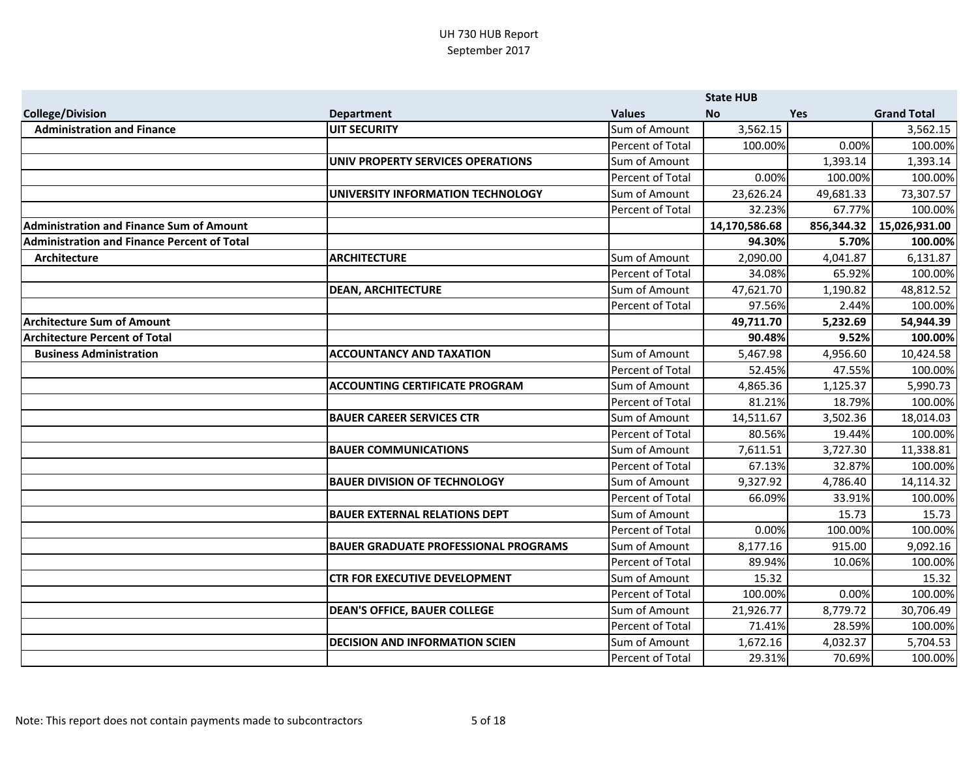|                                                    |                                             |                  | <b>State HUB</b> |            |                    |
|----------------------------------------------------|---------------------------------------------|------------------|------------------|------------|--------------------|
| <b>College/Division</b>                            | <b>Department</b>                           | <b>Values</b>    | <b>No</b>        | <b>Yes</b> | <b>Grand Total</b> |
| <b>Administration and Finance</b>                  | <b>UIT SECURITY</b>                         | Sum of Amount    | 3,562.15         |            | 3,562.15           |
|                                                    |                                             | Percent of Total | 100.00%          | 0.00%      | 100.00%            |
|                                                    | UNIV PROPERTY SERVICES OPERATIONS           | Sum of Amount    |                  | 1,393.14   | 1,393.14           |
|                                                    |                                             | Percent of Total | 0.00%            | 100.00%    | 100.00%            |
|                                                    | UNIVERSITY INFORMATION TECHNOLOGY           | Sum of Amount    | 23,626.24        | 49,681.33  | 73,307.57          |
|                                                    |                                             | Percent of Total | 32.23%           | 67.77%     | 100.00%            |
| <b>Administration and Finance Sum of Amount</b>    |                                             |                  | 14,170,586.68    | 856,344.32 | 15,026,931.00      |
| <b>Administration and Finance Percent of Total</b> |                                             |                  | 94.30%           | 5.70%      | 100.00%            |
| Architecture                                       | <b>ARCHITECTURE</b>                         | Sum of Amount    | 2,090.00         | 4,041.87   | 6,131.87           |
|                                                    |                                             | Percent of Total | 34.08%           | 65.92%     | 100.00%            |
|                                                    | <b>DEAN, ARCHITECTURE</b>                   | Sum of Amount    | 47,621.70        | 1,190.82   | 48,812.52          |
|                                                    |                                             | Percent of Total | 97.56%           | 2.44%      | 100.00%            |
| <b>Architecture Sum of Amount</b>                  |                                             |                  | 49,711.70        | 5,232.69   | 54,944.39          |
| <b>Architecture Percent of Total</b>               |                                             |                  | 90.48%           | 9.52%      | 100.00%            |
| <b>Business Administration</b>                     | <b>ACCOUNTANCY AND TAXATION</b>             | Sum of Amount    | 5,467.98         | 4,956.60   | 10,424.58          |
|                                                    |                                             | Percent of Total | 52.45%           | 47.55%     | 100.00%            |
|                                                    | <b>ACCOUNTING CERTIFICATE PROGRAM</b>       | Sum of Amount    | 4,865.36         | 1,125.37   | 5,990.73           |
|                                                    |                                             | Percent of Total | 81.21%           | 18.79%     | 100.00%            |
|                                                    | <b>BAUER CAREER SERVICES CTR</b>            | Sum of Amount    | 14,511.67        | 3,502.36   | 18,014.03          |
|                                                    |                                             | Percent of Total | 80.56%           | 19.44%     | 100.00%            |
|                                                    | <b>BAUER COMMUNICATIONS</b>                 | Sum of Amount    | 7,611.51         | 3,727.30   | 11,338.81          |
|                                                    |                                             | Percent of Total | 67.13%           | 32.87%     | 100.00%            |
|                                                    | <b>BAUER DIVISION OF TECHNOLOGY</b>         | Sum of Amount    | 9,327.92         | 4,786.40   | 14,114.32          |
|                                                    |                                             | Percent of Total | 66.09%           | 33.91%     | 100.00%            |
|                                                    | <b>BAUER EXTERNAL RELATIONS DEPT</b>        | Sum of Amount    |                  | 15.73      | 15.73              |
|                                                    |                                             | Percent of Total | 0.00%            | 100.00%    | 100.00%            |
|                                                    | <b>BAUER GRADUATE PROFESSIONAL PROGRAMS</b> | Sum of Amount    | 8,177.16         | 915.00     | 9,092.16           |
|                                                    |                                             | Percent of Total | 89.94%           | 10.06%     | 100.00%            |
|                                                    | <b>CTR FOR EXECUTIVE DEVELOPMENT</b>        | Sum of Amount    | 15.32            |            | 15.32              |
|                                                    |                                             | Percent of Total | 100.00%          | 0.00%      | 100.00%            |
|                                                    | <b>DEAN'S OFFICE, BAUER COLLEGE</b>         | Sum of Amount    | 21,926.77        | 8,779.72   | 30,706.49          |
|                                                    |                                             | Percent of Total | 71.41%           | 28.59%     | 100.00%            |
|                                                    | <b>DECISION AND INFORMATION SCIEN</b>       | Sum of Amount    | 1,672.16         | 4,032.37   | 5,704.53           |
|                                                    |                                             | Percent of Total | 29.31%           | 70.69%     | 100.00%            |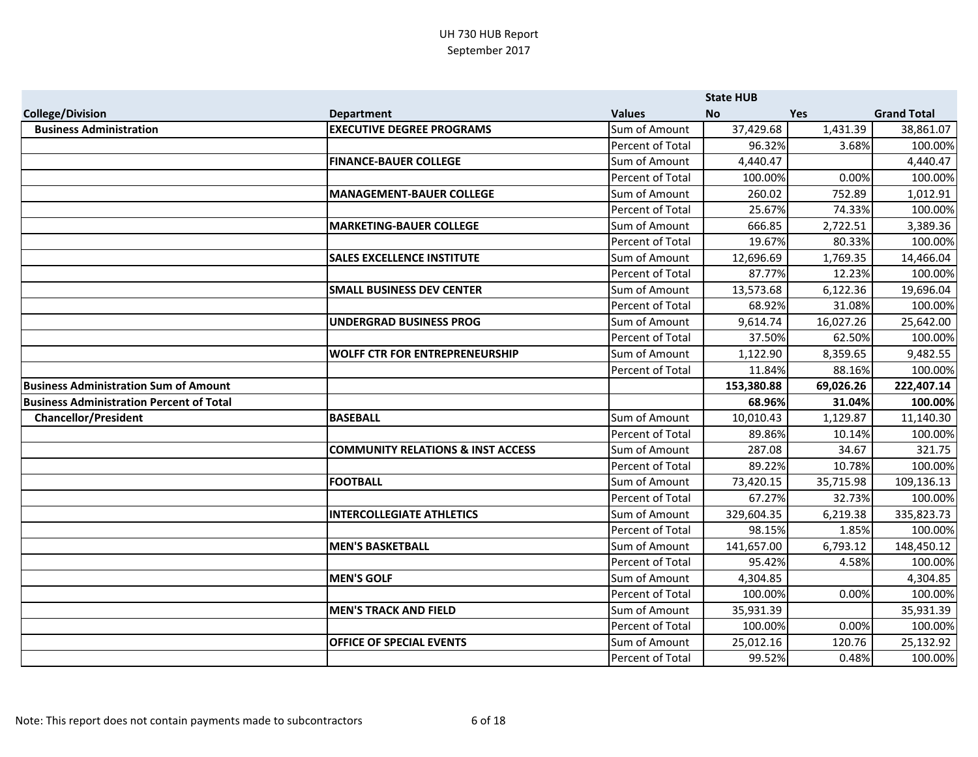|                                                 |                                              |                                   | <b>State HUB</b>    |            |                      |
|-------------------------------------------------|----------------------------------------------|-----------------------------------|---------------------|------------|----------------------|
| <b>College/Division</b>                         | <b>Department</b>                            | <b>Values</b>                     | <b>No</b>           | <b>Yes</b> | <b>Grand Total</b>   |
| <b>Business Administration</b>                  | <b>EXECUTIVE DEGREE PROGRAMS</b>             | Sum of Amount                     | 37,429.68           | 1,431.39   | 38,861.07            |
|                                                 |                                              | Percent of Total                  | 96.32%              | 3.68%      | 100.00%              |
|                                                 | <b>FINANCE-BAUER COLLEGE</b>                 | Sum of Amount                     | 4,440.47            |            | 4,440.47             |
|                                                 |                                              | Percent of Total                  | 100.00%             | 0.00%      | 100.00%              |
|                                                 | <b>MANAGEMENT-BAUER COLLEGE</b>              | Sum of Amount                     | 260.02              | 752.89     | 1,012.91             |
|                                                 |                                              | <b>Percent of Total</b>           | 25.67%              | 74.33%     | 100.00%              |
|                                                 | <b>MARKETING-BAUER COLLEGE</b>               | Sum of Amount                     | 666.85              | 2,722.51   | 3,389.36             |
|                                                 |                                              | Percent of Total                  | 19.67%              | 80.33%     | 100.00%              |
|                                                 | <b>SALES EXCELLENCE INSTITUTE</b>            | Sum of Amount                     | 12,696.69           | 1,769.35   | 14,466.04            |
|                                                 |                                              | Percent of Total                  | 87.77%              | 12.23%     | 100.00%              |
|                                                 | <b>SMALL BUSINESS DEV CENTER</b>             | Sum of Amount                     | 13,573.68           | 6,122.36   | 19,696.04            |
|                                                 |                                              | <b>Percent of Total</b>           | 68.92%              | 31.08%     | 100.00%              |
|                                                 | <b>UNDERGRAD BUSINESS PROG</b>               | Sum of Amount                     | 9,614.74            | 16,027.26  | 25,642.00            |
|                                                 |                                              | Percent of Total                  | 37.50%              | 62.50%     | 100.00%              |
|                                                 | <b>WOLFF CTR FOR ENTREPRENEURSHIP</b>        | Sum of Amount                     | 1,122.90            | 8,359.65   | 9,482.55             |
|                                                 |                                              | Percent of Total                  | 11.84%              | 88.16%     | 100.00%              |
| <b>Business Administration Sum of Amount</b>    |                                              |                                   | 153,380.88          | 69,026.26  | 222,407.14           |
| <b>Business Administration Percent of Total</b> |                                              |                                   | 68.96%              | 31.04%     | 100.00%              |
| <b>Chancellor/President</b>                     | <b>BASEBALL</b>                              | Sum of Amount                     | 10,010.43           | 1,129.87   | 11,140.30            |
|                                                 |                                              |                                   |                     |            |                      |
|                                                 |                                              | Percent of Total                  | 89.86%              | 10.14%     | 100.00%              |
|                                                 | <b>COMMUNITY RELATIONS &amp; INST ACCESS</b> | Sum of Amount                     | 287.08              | 34.67      | 321.75               |
|                                                 |                                              | Percent of Total                  | 89.22%              | 10.78%     | 100.00%              |
|                                                 | <b>FOOTBALL</b>                              | Sum of Amount                     | 73,420.15           | 35,715.98  | 109,136.13           |
|                                                 |                                              | Percent of Total                  | 67.27%              | 32.73%     | 100.00%              |
|                                                 | <b>INTERCOLLEGIATE ATHLETICS</b>             | Sum of Amount                     | 329,604.35          | 6,219.38   | 335,823.73           |
|                                                 |                                              | Percent of Total                  | 98.15%              | 1.85%      | 100.00%              |
|                                                 | <b>MEN'S BASKETBALL</b>                      | Sum of Amount                     | 141,657.00          | 6,793.12   | 148,450.12           |
|                                                 |                                              | Percent of Total                  | 95.42%              | 4.58%      | 100.00%              |
|                                                 | <b>MEN'S GOLF</b>                            | Sum of Amount                     | 4,304.85            |            | 4,304.85             |
|                                                 |                                              | Percent of Total                  | 100.00%             | 0.00%      | 100.00%              |
|                                                 | <b>MEN'S TRACK AND FIELD</b>                 | Sum of Amount                     | 35,931.39           |            | 35,931.39            |
|                                                 |                                              | Percent of Total                  | 100.00%             | 0.00%      | 100.00%              |
|                                                 | <b>OFFICE OF SPECIAL EVENTS</b>              | Sum of Amount<br>Percent of Total | 25,012.16<br>99.52% | 120.76     | 25,132.92<br>100.00% |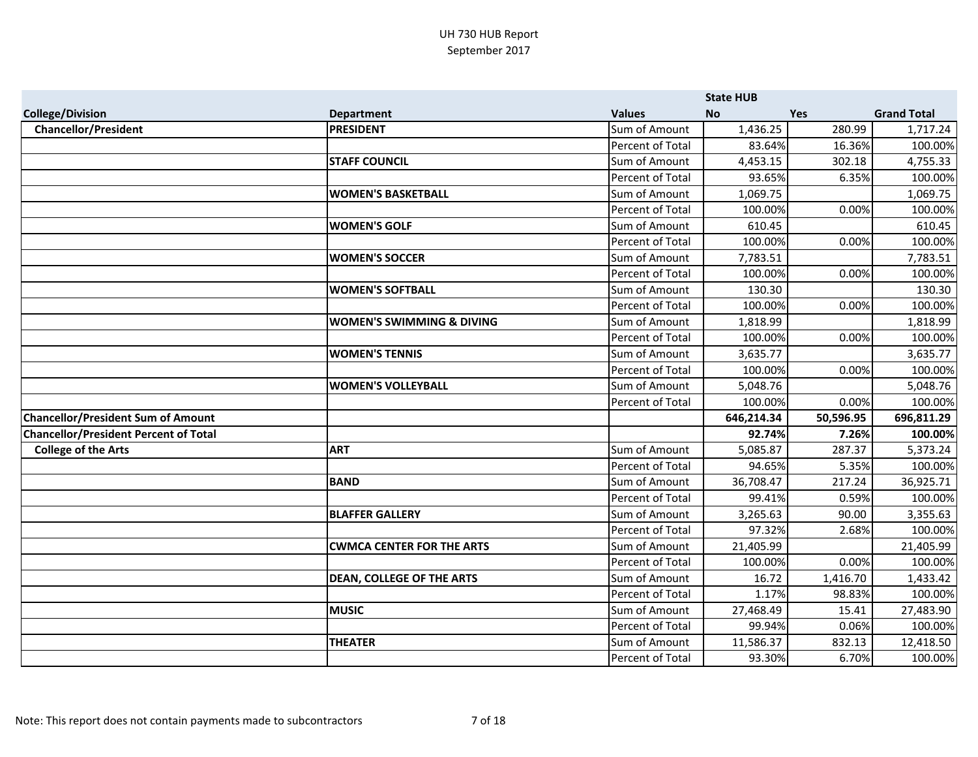|                                              |                                      |                         | <b>State HUB</b> |            |                    |
|----------------------------------------------|--------------------------------------|-------------------------|------------------|------------|--------------------|
| <b>College/Division</b>                      | <b>Department</b>                    | <b>Values</b>           | <b>No</b>        | <b>Yes</b> | <b>Grand Total</b> |
| <b>Chancellor/President</b>                  | <b>PRESIDENT</b>                     | Sum of Amount           | 1,436.25         | 280.99     | 1,717.24           |
|                                              |                                      | Percent of Total        | 83.64%           | 16.36%     | 100.00%            |
|                                              | <b>STAFF COUNCIL</b>                 | Sum of Amount           | 4,453.15         | 302.18     | 4,755.33           |
|                                              |                                      | Percent of Total        | 93.65%           | 6.35%      | 100.00%            |
|                                              | <b>WOMEN'S BASKETBALL</b>            | Sum of Amount           | 1,069.75         |            | 1,069.75           |
|                                              |                                      | Percent of Total        | 100.00%          | 0.00%      | 100.00%            |
|                                              | <b>WOMEN'S GOLF</b>                  | Sum of Amount           | 610.45           |            | 610.45             |
|                                              |                                      | Percent of Total        | 100.00%          | 0.00%      | 100.00%            |
|                                              | <b>WOMEN'S SOCCER</b>                | Sum of Amount           | 7,783.51         |            | 7,783.51           |
|                                              |                                      | Percent of Total        | 100.00%          | 0.00%      | 100.00%            |
|                                              | <b>WOMEN'S SOFTBALL</b>              | Sum of Amount           | 130.30           |            | 130.30             |
|                                              |                                      | Percent of Total        | 100.00%          | 0.00%      | 100.00%            |
|                                              | <b>WOMEN'S SWIMMING &amp; DIVING</b> | Sum of Amount           | 1,818.99         |            | 1,818.99           |
|                                              |                                      | Percent of Total        | 100.00%          | 0.00%      | 100.00%            |
|                                              | <b>WOMEN'S TENNIS</b>                | Sum of Amount           | 3,635.77         |            | 3,635.77           |
|                                              |                                      | Percent of Total        | 100.00%          | 0.00%      | 100.00%            |
|                                              | <b>WOMEN'S VOLLEYBALL</b>            | Sum of Amount           | 5,048.76         |            | 5,048.76           |
|                                              |                                      | Percent of Total        | 100.00%          | 0.00%      | 100.00%            |
| <b>Chancellor/President Sum of Amount</b>    |                                      |                         | 646,214.34       | 50,596.95  | 696,811.29         |
| <b>Chancellor/President Percent of Total</b> |                                      |                         | 92.74%           | 7.26%      | 100.00%            |
| <b>College of the Arts</b>                   | <b>ART</b>                           | Sum of Amount           | 5,085.87         | 287.37     | 5,373.24           |
|                                              |                                      | Percent of Total        | 94.65%           | 5.35%      | 100.00%            |
|                                              | <b>BAND</b>                          | Sum of Amount           | 36,708.47        | 217.24     | 36,925.71          |
|                                              |                                      | <b>Percent of Total</b> | 99.41%           | 0.59%      | 100.00%            |
|                                              | <b>BLAFFER GALLERY</b>               | Sum of Amount           | 3,265.63         | 90.00      | 3,355.63           |
|                                              |                                      | Percent of Total        | 97.32%           | 2.68%      | 100.00%            |
|                                              | <b>CWMCA CENTER FOR THE ARTS</b>     | Sum of Amount           | 21,405.99        |            | 21,405.99          |
|                                              |                                      | Percent of Total        | 100.00%          | 0.00%      | 100.00%            |
|                                              | <b>DEAN, COLLEGE OF THE ARTS</b>     | Sum of Amount           | 16.72            | 1,416.70   | 1,433.42           |
|                                              |                                      | Percent of Total        | 1.17%            | 98.83%     | 100.00%            |
|                                              | <b>MUSIC</b>                         | Sum of Amount           | 27,468.49        | 15.41      | 27,483.90          |
|                                              |                                      | Percent of Total        | 99.94%           | 0.06%      | 100.00%            |
|                                              | <b>THEATER</b>                       | Sum of Amount           | 11,586.37        | 832.13     | 12,418.50          |
|                                              |                                      | Percent of Total        | 93.30%           | 6.70%      | 100.00%            |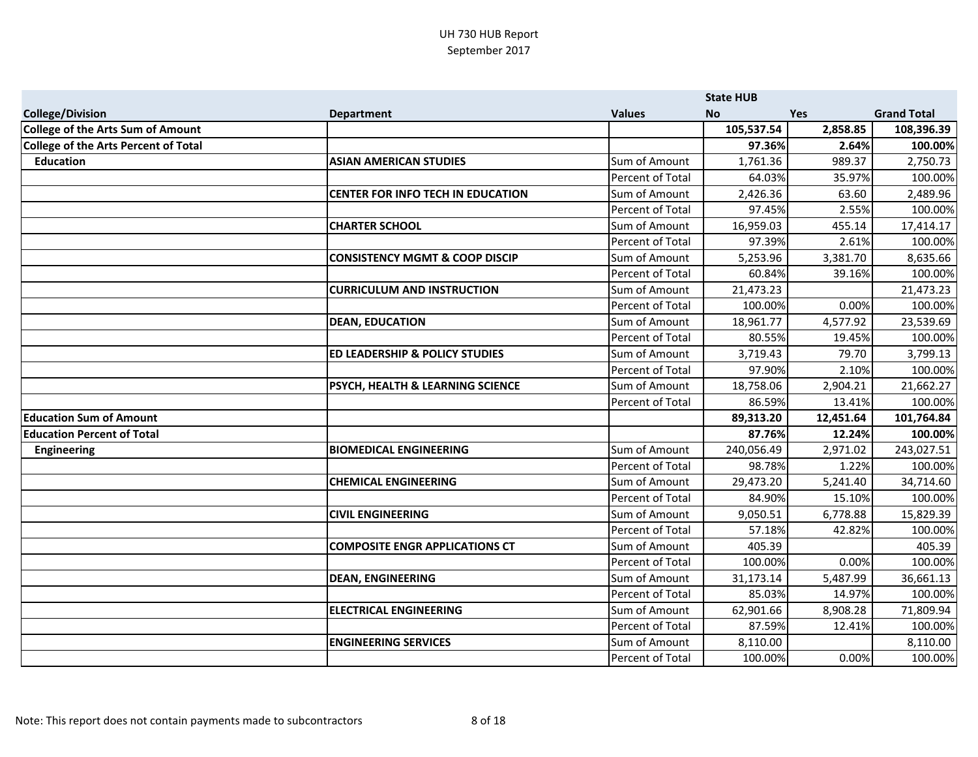|                                      |                                           |                  | <b>State HUB</b> |            |                    |
|--------------------------------------|-------------------------------------------|------------------|------------------|------------|--------------------|
| <b>College/Division</b>              | <b>Department</b>                         | <b>Values</b>    | <b>No</b>        | <b>Yes</b> | <b>Grand Total</b> |
| College of the Arts Sum of Amount    |                                           |                  | 105,537.54       | 2,858.85   | 108,396.39         |
| College of the Arts Percent of Total |                                           |                  | 97.36%           | 2.64%      | 100.00%            |
| <b>Education</b>                     | <b>ASIAN AMERICAN STUDIES</b>             | Sum of Amount    | 1,761.36         | 989.37     | 2,750.73           |
|                                      |                                           | Percent of Total | 64.03%           | 35.97%     | 100.00%            |
|                                      | <b>CENTER FOR INFO TECH IN EDUCATION</b>  | Sum of Amount    | 2,426.36         | 63.60      | 2,489.96           |
|                                      |                                           | Percent of Total | 97.45%           | 2.55%      | 100.00%            |
|                                      | <b>CHARTER SCHOOL</b>                     | Sum of Amount    | 16,959.03        | 455.14     | 17,414.17          |
|                                      |                                           | Percent of Total | 97.39%           | 2.61%      | 100.00%            |
|                                      | <b>CONSISTENCY MGMT &amp; COOP DISCIP</b> | Sum of Amount    | 5,253.96         | 3,381.70   | 8,635.66           |
|                                      |                                           | Percent of Total | 60.84%           | 39.16%     | 100.00%            |
|                                      | <b>CURRICULUM AND INSTRUCTION</b>         | Sum of Amount    | 21,473.23        |            | 21,473.23          |
|                                      |                                           | Percent of Total | 100.00%          | 0.00%      | 100.00%            |
|                                      | <b>DEAN, EDUCATION</b>                    | Sum of Amount    | 18,961.77        | 4,577.92   | 23,539.69          |
|                                      |                                           | Percent of Total | 80.55%           | 19.45%     | 100.00%            |
|                                      | <b>ED LEADERSHIP &amp; POLICY STUDIES</b> | Sum of Amount    | 3,719.43         | 79.70      | 3,799.13           |
|                                      |                                           | Percent of Total | 97.90%           | 2.10%      | 100.00%            |
|                                      | PSYCH, HEALTH & LEARNING SCIENCE          | Sum of Amount    | 18,758.06        | 2,904.21   | 21,662.27          |
|                                      |                                           | Percent of Total | 86.59%           | 13.41%     | 100.00%            |
| <b>Education Sum of Amount</b>       |                                           |                  | 89,313.20        | 12,451.64  | 101,764.84         |
| <b>Education Percent of Total</b>    |                                           |                  | 87.76%           | 12.24%     | 100.00%            |
| Engineering                          | <b>BIOMEDICAL ENGINEERING</b>             | Sum of Amount    | 240,056.49       | 2,971.02   | 243,027.51         |
|                                      |                                           | Percent of Total | 98.78%           | 1.22%      | 100.00%            |
|                                      | <b>CHEMICAL ENGINEERING</b>               | Sum of Amount    | 29,473.20        | 5,241.40   | 34,714.60          |
|                                      |                                           | Percent of Total | 84.90%           | 15.10%     | 100.00%            |
|                                      | <b>CIVIL ENGINEERING</b>                  | Sum of Amount    | 9,050.51         | 6,778.88   | 15,829.39          |
|                                      |                                           | Percent of Total | 57.18%           | 42.82%     | 100.00%            |
|                                      | <b>COMPOSITE ENGR APPLICATIONS CT</b>     | Sum of Amount    | 405.39           |            | 405.39             |
|                                      |                                           | Percent of Total | 100.00%          | 0.00%      | 100.00%            |
|                                      | <b>DEAN, ENGINEERING</b>                  | Sum of Amount    | 31,173.14        | 5,487.99   | 36,661.13          |
|                                      |                                           | Percent of Total | 85.03%           | 14.97%     | 100.00%            |
|                                      | <b>ELECTRICAL ENGINEERING</b>             | Sum of Amount    | 62,901.66        | 8,908.28   | 71,809.94          |
|                                      |                                           | Percent of Total | 87.59%           | 12.41%     | 100.00%            |
|                                      | <b>ENGINEERING SERVICES</b>               | Sum of Amount    | 8,110.00         |            | 8,110.00           |
|                                      |                                           | Percent of Total | 100.00%          | 0.00%      | 100.00%            |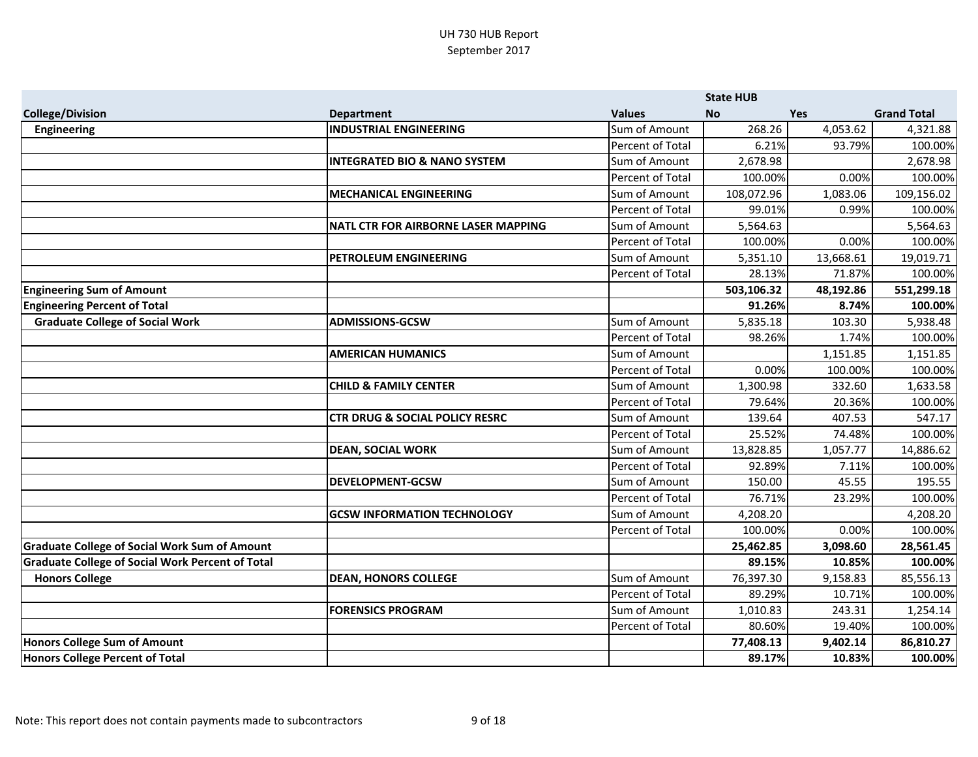|                                                         |                                            |                  | <b>State HUB</b> |            |                    |
|---------------------------------------------------------|--------------------------------------------|------------------|------------------|------------|--------------------|
| <b>College/Division</b>                                 | <b>Department</b>                          | <b>Values</b>    | <b>No</b>        | <b>Yes</b> | <b>Grand Total</b> |
| <b>Engineering</b>                                      | <b>INDUSTRIAL ENGINEERING</b>              | Sum of Amount    | 268.26           | 4,053.62   | 4,321.88           |
|                                                         |                                            | Percent of Total | 6.21%            | 93.79%     | 100.00%            |
|                                                         | <b>INTEGRATED BIO &amp; NANO SYSTEM</b>    | Sum of Amount    | 2,678.98         |            | 2,678.98           |
|                                                         |                                            | Percent of Total | 100.00%          | 0.00%      | 100.00%            |
|                                                         | <b>MECHANICAL ENGINEERING</b>              | Sum of Amount    | 108,072.96       | 1,083.06   | 109,156.02         |
|                                                         |                                            | Percent of Total | 99.01%           | 0.99%      | 100.00%            |
|                                                         | <b>NATL CTR FOR AIRBORNE LASER MAPPING</b> | Sum of Amount    | 5,564.63         |            | 5,564.63           |
|                                                         |                                            | Percent of Total | 100.00%          | 0.00%      | 100.00%            |
|                                                         | PETROLEUM ENGINEERING                      | Sum of Amount    | 5,351.10         | 13,668.61  | 19,019.71          |
|                                                         |                                            | Percent of Total | 28.13%           | 71.87%     | 100.00%            |
| <b>Engineering Sum of Amount</b>                        |                                            |                  | 503,106.32       | 48,192.86  | 551,299.18         |
| <b>Engineering Percent of Total</b>                     |                                            |                  | 91.26%           | 8.74%      | 100.00%            |
| <b>Graduate College of Social Work</b>                  | <b>ADMISSIONS-GCSW</b>                     | Sum of Amount    | 5,835.18         | 103.30     | 5,938.48           |
|                                                         |                                            | Percent of Total | 98.26%           | 1.74%      | 100.00%            |
|                                                         | <b>AMERICAN HUMANICS</b>                   | Sum of Amount    |                  | 1,151.85   | 1,151.85           |
|                                                         |                                            | Percent of Total | 0.00%            | 100.00%    | 100.00%            |
|                                                         | <b>CHILD &amp; FAMILY CENTER</b>           | Sum of Amount    | 1,300.98         | 332.60     | 1,633.58           |
|                                                         |                                            | Percent of Total | 79.64%           | 20.36%     | 100.00%            |
|                                                         | <b>CTR DRUG &amp; SOCIAL POLICY RESRC</b>  | Sum of Amount    | 139.64           | 407.53     | 547.17             |
|                                                         |                                            | Percent of Total | 25.52%           | 74.48%     | 100.00%            |
|                                                         | <b>DEAN, SOCIAL WORK</b>                   | Sum of Amount    | 13,828.85        | 1,057.77   | 14,886.62          |
|                                                         |                                            | Percent of Total | 92.89%           | 7.11%      | 100.00%            |
|                                                         | <b>DEVELOPMENT-GCSW</b>                    | Sum of Amount    | 150.00           | 45.55      | 195.55             |
|                                                         |                                            | Percent of Total | 76.71%           | 23.29%     | 100.00%            |
|                                                         | <b>GCSW INFORMATION TECHNOLOGY</b>         | Sum of Amount    | 4,208.20         |            | 4,208.20           |
|                                                         |                                            | Percent of Total | 100.00%          | 0.00%      | 100.00%            |
| <b>Graduate College of Social Work Sum of Amount</b>    |                                            |                  | 25,462.85        | 3,098.60   | 28,561.45          |
| <b>Graduate College of Social Work Percent of Total</b> |                                            |                  | 89.15%           | 10.85%     | 100.00%            |
| <b>Honors College</b>                                   | <b>DEAN, HONORS COLLEGE</b>                | Sum of Amount    | 76,397.30        | 9,158.83   | 85,556.13          |
|                                                         |                                            | Percent of Total | 89.29%           | 10.71%     | 100.00%            |
|                                                         | <b>FORENSICS PROGRAM</b>                   | Sum of Amount    | 1,010.83         | 243.31     | 1,254.14           |
|                                                         |                                            | Percent of Total | 80.60%           | 19.40%     | 100.00%            |
| Honors College Sum of Amount                            |                                            |                  | 77,408.13        | 9,402.14   | 86,810.27          |
| <b>Honors College Percent of Total</b>                  |                                            |                  | 89.17%           | 10.83%     | 100.00%            |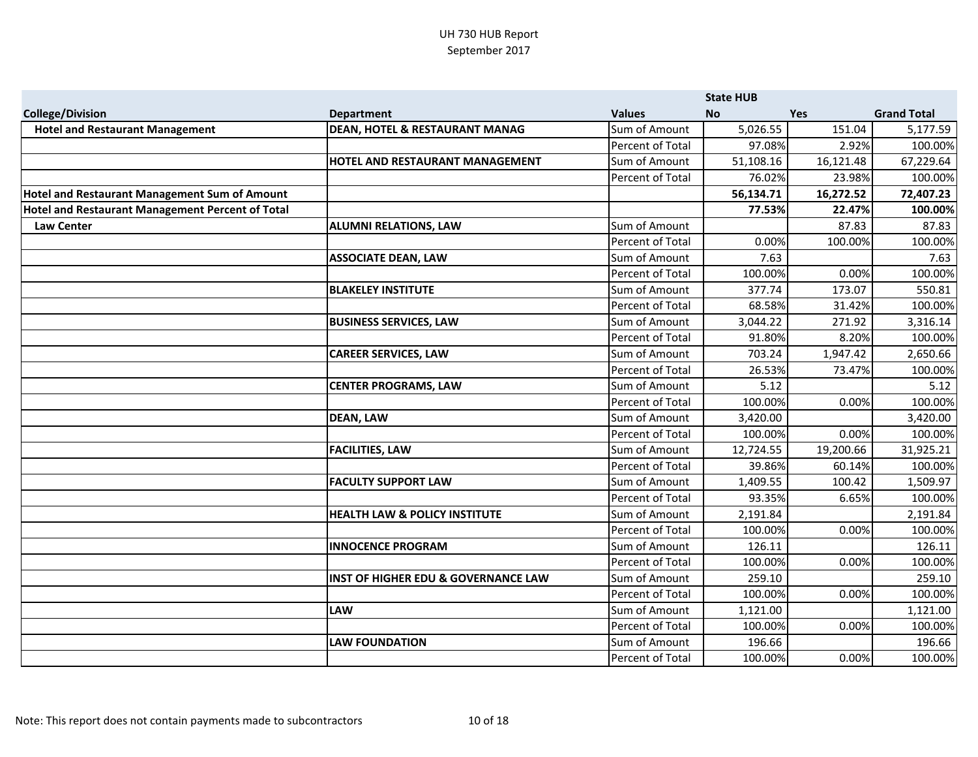|                                                  |                                                |                  | <b>State HUB</b> |            |                    |
|--------------------------------------------------|------------------------------------------------|------------------|------------------|------------|--------------------|
| <b>College/Division</b>                          | <b>Department</b>                              | <b>Values</b>    | <b>No</b>        | <b>Yes</b> | <b>Grand Total</b> |
| <b>Hotel and Restaurant Management</b>           | <b>DEAN, HOTEL &amp; RESTAURANT MANAG</b>      | Sum of Amount    | 5,026.55         | 151.04     | 5,177.59           |
|                                                  |                                                | Percent of Total | 97.08%           | 2.92%      | 100.00%            |
|                                                  | HOTEL AND RESTAURANT MANAGEMENT                | Sum of Amount    | 51,108.16        | 16,121.48  | 67,229.64          |
|                                                  |                                                | Percent of Total | 76.02%           | 23.98%     | 100.00%            |
| Hotel and Restaurant Management Sum of Amount    |                                                |                  | 56,134.71        | 16,272.52  | 72,407.23          |
| Hotel and Restaurant Management Percent of Total |                                                |                  | 77.53%           | 22.47%     | 100.00%            |
| <b>Law Center</b>                                | <b>ALUMNI RELATIONS, LAW</b>                   | Sum of Amount    |                  | 87.83      | 87.83              |
|                                                  |                                                | Percent of Total | 0.00%            | 100.00%    | 100.00%            |
|                                                  | <b>ASSOCIATE DEAN, LAW</b>                     | Sum of Amount    | 7.63             |            | 7.63               |
|                                                  |                                                | Percent of Total | 100.00%          | 0.00%      | 100.00%            |
|                                                  | <b>BLAKELEY INSTITUTE</b>                      | Sum of Amount    | 377.74           | 173.07     | 550.81             |
|                                                  |                                                | Percent of Total | 68.58%           | 31.42%     | 100.00%            |
|                                                  | <b>BUSINESS SERVICES, LAW</b>                  | Sum of Amount    | 3,044.22         | 271.92     | 3,316.14           |
|                                                  |                                                | Percent of Total | 91.80%           | 8.20%      | 100.00%            |
|                                                  | <b>CAREER SERVICES, LAW</b>                    | Sum of Amount    | 703.24           | 1,947.42   | 2,650.66           |
|                                                  |                                                | Percent of Total | 26.53%           | 73.47%     | 100.00%            |
|                                                  | <b>CENTER PROGRAMS, LAW</b>                    | Sum of Amount    | 5.12             |            | 5.12               |
|                                                  |                                                | Percent of Total | 100.00%          | 0.00%      | 100.00%            |
|                                                  | <b>DEAN, LAW</b>                               | Sum of Amount    | 3,420.00         |            | 3,420.00           |
|                                                  |                                                | Percent of Total | 100.00%          | 0.00%      | 100.00%            |
|                                                  | <b>FACILITIES, LAW</b>                         | Sum of Amount    | 12,724.55        | 19,200.66  | 31,925.21          |
|                                                  |                                                | Percent of Total | 39.86%           | 60.14%     | 100.00%            |
|                                                  | <b>FACULTY SUPPORT LAW</b>                     | Sum of Amount    | 1,409.55         | 100.42     | 1,509.97           |
|                                                  |                                                | Percent of Total | 93.35%           | 6.65%      | 100.00%            |
|                                                  | <b>HEALTH LAW &amp; POLICY INSTITUTE</b>       | Sum of Amount    | 2,191.84         |            | 2,191.84           |
|                                                  |                                                | Percent of Total | 100.00%          | 0.00%      | 100.00%            |
|                                                  | <b>INNOCENCE PROGRAM</b>                       | Sum of Amount    | 126.11           |            | 126.11             |
|                                                  |                                                | Percent of Total | 100.00%          | 0.00%      | 100.00%            |
|                                                  | <b>INST OF HIGHER EDU &amp; GOVERNANCE LAW</b> | Sum of Amount    | 259.10           |            | 259.10             |
|                                                  |                                                | Percent of Total | 100.00%          | 0.00%      | 100.00%            |
|                                                  | <b>LAW</b>                                     | Sum of Amount    | 1,121.00         |            | 1,121.00           |
|                                                  |                                                | Percent of Total | 100.00%          | 0.00%      | 100.00%            |
|                                                  | <b>LAW FOUNDATION</b>                          | Sum of Amount    | 196.66           |            | 196.66             |
|                                                  |                                                | Percent of Total | 100.00%          | 0.00%      | 100.00%            |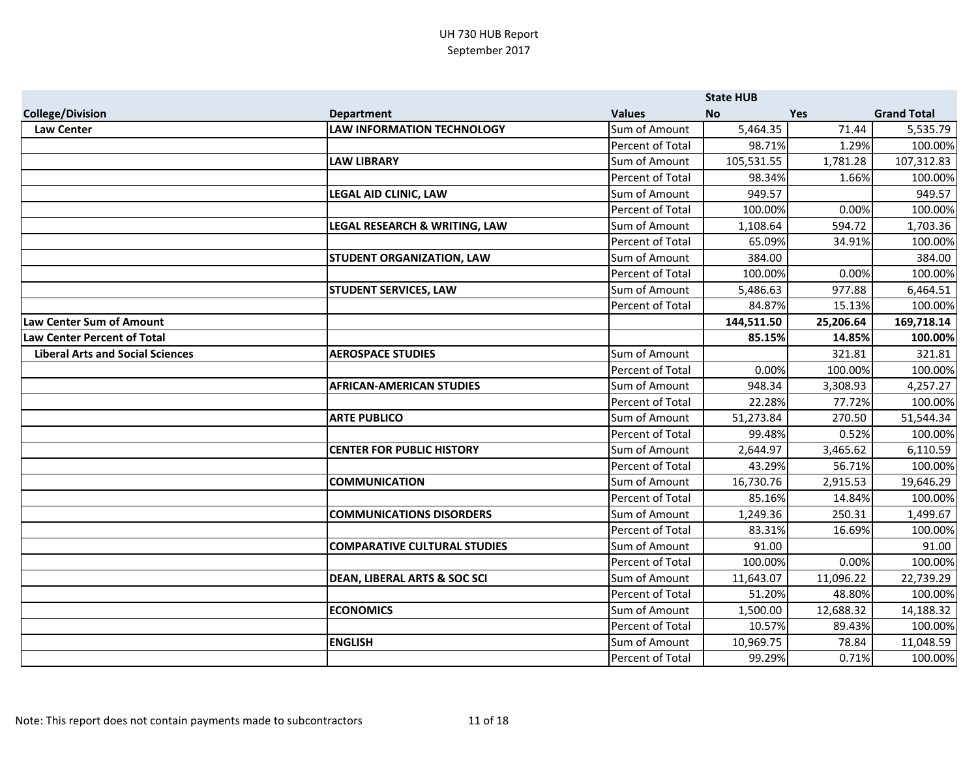|                                         |                                         |                  | <b>State HUB</b> |            |                    |
|-----------------------------------------|-----------------------------------------|------------------|------------------|------------|--------------------|
| <b>College/Division</b>                 | <b>Department</b>                       | <b>Values</b>    | <b>No</b>        | <b>Yes</b> | <b>Grand Total</b> |
| <b>Law Center</b>                       | <b>LAW INFORMATION TECHNOLOGY</b>       | Sum of Amount    | 5,464.35         | 71.44      | 5,535.79           |
|                                         |                                         | Percent of Total | 98.71%           | 1.29%      | 100.00%            |
|                                         | <b>LAW LIBRARY</b>                      | Sum of Amount    | 105,531.55       | 1,781.28   | 107,312.83         |
|                                         |                                         | Percent of Total | 98.34%           | 1.66%      | 100.00%            |
|                                         | LEGAL AID CLINIC, LAW                   | Sum of Amount    | 949.57           |            | 949.57             |
|                                         |                                         | Percent of Total | 100.00%          | 0.00%      | 100.00%            |
|                                         | LEGAL RESEARCH & WRITING, LAW           | Sum of Amount    | 1,108.64         | 594.72     | 1,703.36           |
|                                         |                                         | Percent of Total | 65.09%           | 34.91%     | 100.00%            |
|                                         | <b>STUDENT ORGANIZATION, LAW</b>        | Sum of Amount    | 384.00           |            | 384.00             |
|                                         |                                         | Percent of Total | 100.00%          | 0.00%      | 100.00%            |
|                                         | <b>STUDENT SERVICES, LAW</b>            | Sum of Amount    | 5,486.63         | 977.88     | 6,464.51           |
|                                         |                                         | Percent of Total | 84.87%           | 15.13%     | 100.00%            |
| Law Center Sum of Amount                |                                         |                  | 144,511.50       | 25,206.64  | 169,718.14         |
| <b>Law Center Percent of Total</b>      |                                         |                  | 85.15%           | 14.85%     | 100.00%            |
| <b>Liberal Arts and Social Sciences</b> | <b>AEROSPACE STUDIES</b>                | Sum of Amount    |                  | 321.81     | 321.81             |
|                                         |                                         | Percent of Total | 0.00%            | 100.00%    | 100.00%            |
|                                         | <b>AFRICAN-AMERICAN STUDIES</b>         | Sum of Amount    | 948.34           | 3,308.93   | 4,257.27           |
|                                         |                                         | Percent of Total | 22.28%           | 77.72%     | 100.00%            |
|                                         | <b>ARTE PUBLICO</b>                     | Sum of Amount    | 51,273.84        | 270.50     | 51,544.34          |
|                                         |                                         | Percent of Total | 99.48%           | 0.52%      | 100.00%            |
|                                         | <b>CENTER FOR PUBLIC HISTORY</b>        | Sum of Amount    | 2,644.97         | 3,465.62   | 6,110.59           |
|                                         |                                         | Percent of Total | 43.29%           | 56.71%     | 100.00%            |
|                                         | <b>COMMUNICATION</b>                    | Sum of Amount    | 16,730.76        | 2,915.53   | 19,646.29          |
|                                         |                                         | Percent of Total | 85.16%           | 14.84%     | 100.00%            |
|                                         | <b>COMMUNICATIONS DISORDERS</b>         | Sum of Amount    | 1,249.36         | 250.31     | 1,499.67           |
|                                         |                                         | Percent of Total | 83.31%           | 16.69%     | 100.00%            |
|                                         | <b>COMPARATIVE CULTURAL STUDIES</b>     | Sum of Amount    | 91.00            |            | 91.00              |
|                                         |                                         | Percent of Total | 100.00%          | 0.00%      | 100.00%            |
|                                         | <b>DEAN, LIBERAL ARTS &amp; SOC SCI</b> | Sum of Amount    | 11,643.07        | 11,096.22  | 22,739.29          |
|                                         |                                         | Percent of Total | 51.20%           | 48.80%     | 100.00%            |
|                                         | <b>ECONOMICS</b>                        | Sum of Amount    | 1,500.00         | 12,688.32  | 14,188.32          |
|                                         |                                         | Percent of Total | 10.57%           | 89.43%     | 100.00%            |
|                                         | <b>ENGLISH</b>                          | Sum of Amount    | 10,969.75        | 78.84      | 11,048.59          |
|                                         |                                         | Percent of Total | 99.29%           | 0.71%      | 100.00%            |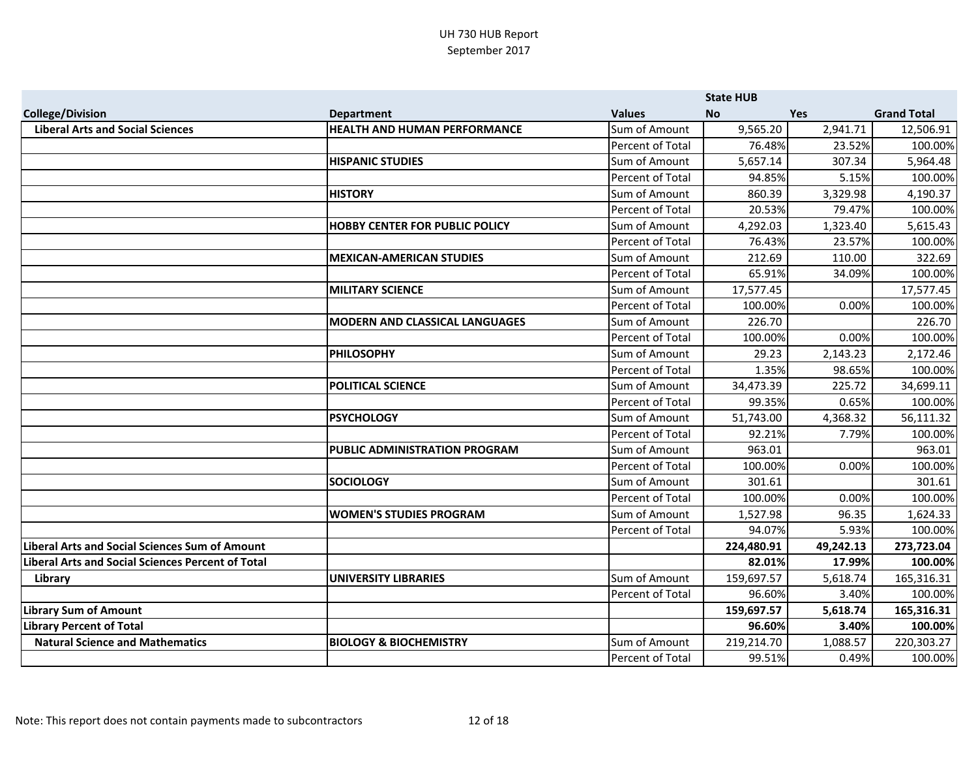|                                                          |                                       |                         | <b>State HUB</b> |            |                    |
|----------------------------------------------------------|---------------------------------------|-------------------------|------------------|------------|--------------------|
| <b>College/Division</b>                                  | <b>Department</b>                     | <b>Values</b>           | <b>No</b>        | <b>Yes</b> | <b>Grand Total</b> |
| <b>Liberal Arts and Social Sciences</b>                  | <b>HEALTH AND HUMAN PERFORMANCE</b>   | Sum of Amount           | 9,565.20         | 2,941.71   | 12,506.91          |
|                                                          |                                       | Percent of Total        | 76.48%           | 23.52%     | 100.00%            |
|                                                          | <b>HISPANIC STUDIES</b>               | Sum of Amount           | 5,657.14         | 307.34     | 5,964.48           |
|                                                          |                                       | Percent of Total        | 94.85%           | 5.15%      | 100.00%            |
|                                                          | <b>HISTORY</b>                        | Sum of Amount           | 860.39           | 3,329.98   | 4,190.37           |
|                                                          |                                       | Percent of Total        | 20.53%           | 79.47%     | 100.00%            |
|                                                          | <b>HOBBY CENTER FOR PUBLIC POLICY</b> | Sum of Amount           | 4,292.03         | 1,323.40   | 5,615.43           |
|                                                          |                                       | Percent of Total        | 76.43%           | 23.57%     | 100.00%            |
|                                                          | <b>MEXICAN-AMERICAN STUDIES</b>       | Sum of Amount           | 212.69           | 110.00     | 322.69             |
|                                                          |                                       | Percent of Total        | 65.91%           | 34.09%     | 100.00%            |
|                                                          | <b>MILITARY SCIENCE</b>               | Sum of Amount           | 17,577.45        |            | 17,577.45          |
|                                                          |                                       | Percent of Total        | 100.00%          | 0.00%      | 100.00%            |
|                                                          | <b>MODERN AND CLASSICAL LANGUAGES</b> | Sum of Amount           | 226.70           |            | 226.70             |
|                                                          |                                       | Percent of Total        | 100.00%          | 0.00%      | 100.00%            |
|                                                          | <b>PHILOSOPHY</b>                     | Sum of Amount           | 29.23            | 2,143.23   | 2,172.46           |
|                                                          |                                       | Percent of Total        | 1.35%            | 98.65%     | 100.00%            |
|                                                          | <b>POLITICAL SCIENCE</b>              | Sum of Amount           | 34,473.39        | 225.72     | 34,699.11          |
|                                                          |                                       | Percent of Total        | 99.35%           | 0.65%      | 100.00%            |
|                                                          | <b>PSYCHOLOGY</b>                     | Sum of Amount           | 51,743.00        | 4,368.32   | 56,111.32          |
|                                                          |                                       | <b>Percent of Total</b> | 92.21%           | 7.79%      | 100.00%            |
|                                                          | <b>PUBLIC ADMINISTRATION PROGRAM</b>  | Sum of Amount           | 963.01           |            | 963.01             |
|                                                          |                                       | Percent of Total        | 100.00%          | 0.00%      | 100.00%            |
|                                                          | <b>SOCIOLOGY</b>                      | Sum of Amount           | 301.61           |            | 301.61             |
|                                                          |                                       | Percent of Total        | 100.00%          | 0.00%      | 100.00%            |
|                                                          | <b>WOMEN'S STUDIES PROGRAM</b>        | Sum of Amount           | 1,527.98         | 96.35      | 1,624.33           |
|                                                          |                                       | Percent of Total        | 94.07%           | 5.93%      | 100.00%            |
| <b>Liberal Arts and Social Sciences Sum of Amount</b>    |                                       |                         | 224,480.91       | 49,242.13  | 273,723.04         |
| <b>Liberal Arts and Social Sciences Percent of Total</b> |                                       |                         | 82.01%           | 17.99%     | 100.00%            |
| Library                                                  | <b>UNIVERSITY LIBRARIES</b>           | Sum of Amount           | 159,697.57       | 5,618.74   | 165,316.31         |
|                                                          |                                       | Percent of Total        | 96.60%           | 3.40%      | 100.00%            |
| <b>Library Sum of Amount</b>                             |                                       |                         | 159,697.57       | 5,618.74   | 165,316.31         |
| <b>Library Percent of Total</b>                          |                                       |                         | 96.60%           | 3.40%      | 100.00%            |
| <b>Natural Science and Mathematics</b>                   | <b>BIOLOGY &amp; BIOCHEMISTRY</b>     | Sum of Amount           | 219,214.70       | 1,088.57   | 220,303.27         |
|                                                          |                                       | Percent of Total        | 99.51%           | 0.49%      | 100.00%            |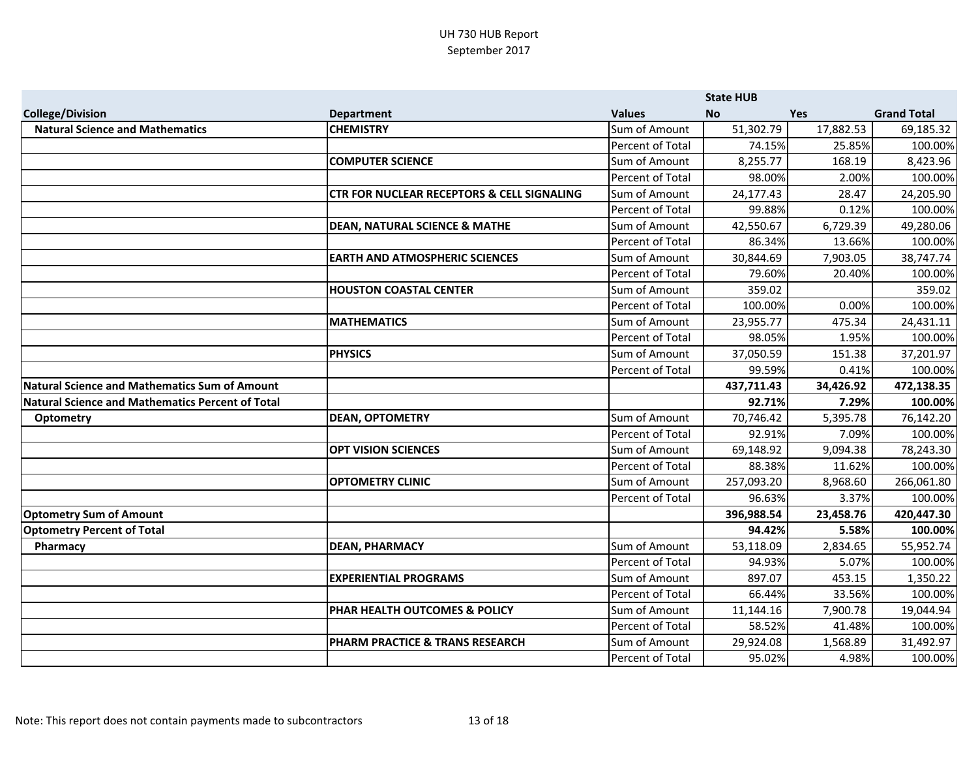|                                                         |                                                       |                                   | <b>State HUB</b>    |                   |                      |
|---------------------------------------------------------|-------------------------------------------------------|-----------------------------------|---------------------|-------------------|----------------------|
| <b>College/Division</b>                                 | <b>Department</b>                                     | <b>Values</b>                     | <b>No</b>           | <b>Yes</b>        | <b>Grand Total</b>   |
| <b>Natural Science and Mathematics</b>                  | <b>CHEMISTRY</b>                                      | Sum of Amount                     | 51,302.79           | 17,882.53         | 69,185.32            |
|                                                         |                                                       | <b>Percent of Total</b>           | 74.15%              | 25.85%            | 100.00%              |
|                                                         | <b>COMPUTER SCIENCE</b>                               | Sum of Amount                     | 8,255.77            | 168.19            | 8,423.96             |
|                                                         |                                                       | Percent of Total                  | 98.00%              | 2.00%             | 100.00%              |
|                                                         | <b>CTR FOR NUCLEAR RECEPTORS &amp; CELL SIGNALING</b> | Sum of Amount                     | 24,177.43           | 28.47             | 24,205.90            |
|                                                         |                                                       | <b>Percent of Total</b>           | 99.88%              | 0.12%             | 100.00%              |
|                                                         | <b>DEAN, NATURAL SCIENCE &amp; MATHE</b>              | Sum of Amount                     | 42,550.67           | 6,729.39          | 49,280.06            |
|                                                         |                                                       | Percent of Total                  | 86.34%              | 13.66%            | 100.00%              |
|                                                         | <b>EARTH AND ATMOSPHERIC SCIENCES</b>                 | Sum of Amount                     | 30,844.69           | 7,903.05          | 38,747.74            |
|                                                         |                                                       | Percent of Total                  | 79.60%              | 20.40%            | 100.00%              |
|                                                         | <b>HOUSTON COASTAL CENTER</b>                         | Sum of Amount                     | 359.02              |                   | 359.02               |
|                                                         |                                                       | Percent of Total                  | 100.00%             | 0.00%             | 100.00%              |
|                                                         | <b>MATHEMATICS</b>                                    | Sum of Amount                     | 23,955.77           | 475.34            | 24,431.11            |
|                                                         |                                                       | Percent of Total                  | 98.05%              | 1.95%             | 100.00%              |
|                                                         | <b>PHYSICS</b>                                        | Sum of Amount                     | 37,050.59           | 151.38            | 37,201.97            |
|                                                         |                                                       | Percent of Total                  | 99.59%              | 0.41%             | 100.00%              |
| <b>Natural Science and Mathematics Sum of Amount</b>    |                                                       |                                   | 437,711.43          | 34,426.92         | 472,138.35           |
| <b>Natural Science and Mathematics Percent of Total</b> |                                                       |                                   | 92.71%              | 7.29%             | 100.00%              |
| <b>Optometry</b>                                        | <b>DEAN, OPTOMETRY</b>                                | Sum of Amount                     | 70,746.42           | 5,395.78          | 76,142.20            |
|                                                         |                                                       | Percent of Total                  | 92.91%              | 7.09%             | 100.00%              |
|                                                         | <b>OPT VISION SCIENCES</b>                            | Sum of Amount                     | 69,148.92           | 9,094.38          | 78,243.30            |
|                                                         |                                                       | Percent of Total                  | 88.38%              | 11.62%            | 100.00%              |
|                                                         | <b>OPTOMETRY CLINIC</b>                               | Sum of Amount                     | 257,093.20          | 8,968.60          | 266,061.80           |
|                                                         |                                                       | Percent of Total                  | 96.63%              | 3.37%             | 100.00%              |
| <b>Optometry Sum of Amount</b>                          |                                                       |                                   | 396,988.54          | 23,458.76         | 420,447.30           |
| <b>Optometry Percent of Total</b>                       |                                                       |                                   | 94.42%              | 5.58%             | 100.00%              |
| Pharmacy                                                | <b>DEAN, PHARMACY</b>                                 | Sum of Amount                     | 53,118.09           | 2,834.65          | 55,952.74            |
|                                                         |                                                       | Percent of Total                  | 94.93%              | 5.07%             | 100.00%              |
|                                                         | <b>EXPERIENTIAL PROGRAMS</b>                          | Sum of Amount                     | 897.07              | 453.15            | 1,350.22             |
|                                                         |                                                       | Percent of Total                  | 66.44%              | 33.56%            | 100.00%              |
|                                                         |                                                       |                                   |                     |                   |                      |
|                                                         | PHAR HEALTH OUTCOMES & POLICY                         | Sum of Amount                     | 11,144.16           | 7,900.78          | 19,044.94            |
|                                                         |                                                       | Percent of Total                  | 58.52%              | 41.48%            | 100.00%              |
|                                                         | PHARM PRACTICE & TRANS RESEARCH                       | Sum of Amount<br>Percent of Total | 29,924.08<br>95.02% | 1,568.89<br>4.98% | 31,492.97<br>100.00% |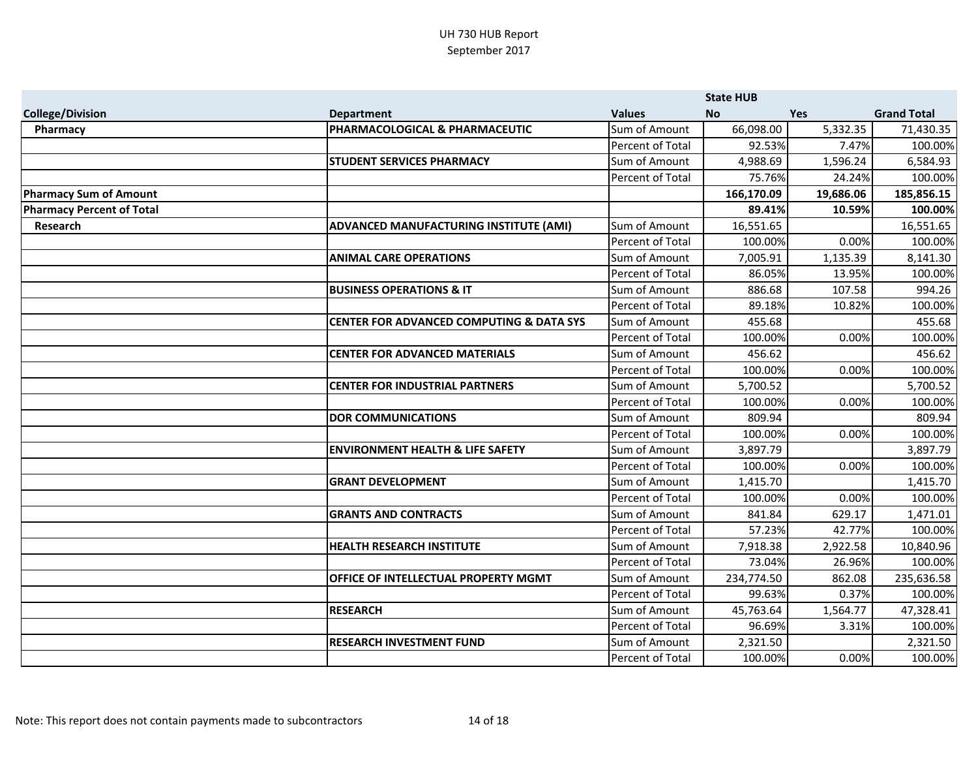|                                  |                                                     |                  | <b>State HUB</b> |            |                    |
|----------------------------------|-----------------------------------------------------|------------------|------------------|------------|--------------------|
| <b>College/Division</b>          | <b>Department</b>                                   | <b>Values</b>    | <b>No</b>        | <b>Yes</b> | <b>Grand Total</b> |
| Pharmacy                         | PHARMACOLOGICAL & PHARMACEUTIC                      | Sum of Amount    | 66,098.00        | 5,332.35   | 71,430.35          |
|                                  |                                                     | Percent of Total | 92.53%           | 7.47%      | 100.00%            |
|                                  | <b>STUDENT SERVICES PHARMACY</b>                    | Sum of Amount    | 4,988.69         | 1,596.24   | 6,584.93           |
|                                  |                                                     | Percent of Total | 75.76%           | 24.24%     | 100.00%            |
| <b>Pharmacy Sum of Amount</b>    |                                                     |                  | 166,170.09       | 19,686.06  | 185,856.15         |
| <b>Pharmacy Percent of Total</b> |                                                     |                  | 89.41%           | 10.59%     | 100.00%            |
| Research                         | ADVANCED MANUFACTURING INSTITUTE (AMI)              | Sum of Amount    | 16,551.65        |            | 16,551.65          |
|                                  |                                                     | Percent of Total | 100.00%          | 0.00%      | 100.00%            |
|                                  | <b>ANIMAL CARE OPERATIONS</b>                       | Sum of Amount    | 7,005.91         | 1,135.39   | 8,141.30           |
|                                  |                                                     | Percent of Total | 86.05%           | 13.95%     | 100.00%            |
|                                  | <b>BUSINESS OPERATIONS &amp; IT</b>                 | Sum of Amount    | 886.68           | 107.58     | 994.26             |
|                                  |                                                     | Percent of Total | 89.18%           | 10.82%     | 100.00%            |
|                                  | <b>CENTER FOR ADVANCED COMPUTING &amp; DATA SYS</b> | Sum of Amount    | 455.68           |            | 455.68             |
|                                  |                                                     | Percent of Total | 100.00%          | 0.00%      | 100.00%            |
|                                  | <b>CENTER FOR ADVANCED MATERIALS</b>                | Sum of Amount    | 456.62           |            | 456.62             |
|                                  |                                                     | Percent of Total | 100.00%          | 0.00%      | 100.00%            |
|                                  | <b>CENTER FOR INDUSTRIAL PARTNERS</b>               | Sum of Amount    | 5,700.52         |            | 5,700.52           |
|                                  |                                                     | Percent of Total | 100.00%          | 0.00%      | 100.00%            |
|                                  | <b>DOR COMMUNICATIONS</b>                           | Sum of Amount    | 809.94           |            | 809.94             |
|                                  |                                                     | Percent of Total | 100.00%          | 0.00%      | 100.00%            |
|                                  | <b>ENVIRONMENT HEALTH &amp; LIFE SAFETY</b>         | Sum of Amount    | 3,897.79         |            | 3,897.79           |
|                                  |                                                     | Percent of Total | 100.00%          | 0.00%      | 100.00%            |
|                                  | <b>GRANT DEVELOPMENT</b>                            | Sum of Amount    | 1,415.70         |            | 1,415.70           |
|                                  |                                                     | Percent of Total | 100.00%          | 0.00%      | 100.00%            |
|                                  | <b>GRANTS AND CONTRACTS</b>                         | Sum of Amount    | 841.84           | 629.17     | 1,471.01           |
|                                  |                                                     | Percent of Total | 57.23%           | 42.77%     | 100.00%            |
|                                  | <b>HEALTH RESEARCH INSTITUTE</b>                    | Sum of Amount    | 7,918.38         | 2,922.58   | 10,840.96          |
|                                  |                                                     | Percent of Total | 73.04%           | 26.96%     | 100.00%            |
|                                  | OFFICE OF INTELLECTUAL PROPERTY MGMT                | Sum of Amount    | 234,774.50       | 862.08     | 235,636.58         |
|                                  |                                                     | Percent of Total | 99.63%           | 0.37%      | 100.00%            |
|                                  | <b>RESEARCH</b>                                     | Sum of Amount    | 45,763.64        | 1,564.77   | 47,328.41          |
|                                  |                                                     | Percent of Total | 96.69%           | 3.31%      | 100.00%            |
|                                  | <b>RESEARCH INVESTMENT FUND</b>                     | Sum of Amount    | 2,321.50         |            | 2,321.50           |
|                                  |                                                     | Percent of Total | 100.00%          | 0.00%      | 100.00%            |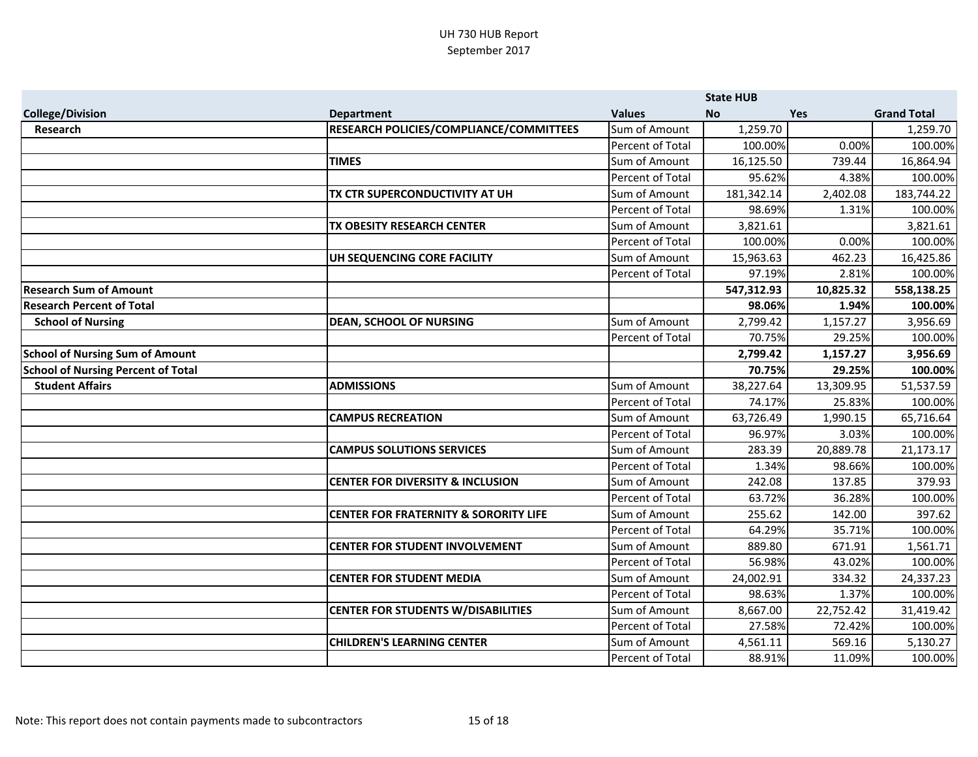|                                           |                                                  |                  | <b>State HUB</b> |            |                    |
|-------------------------------------------|--------------------------------------------------|------------------|------------------|------------|--------------------|
| <b>College/Division</b>                   | <b>Department</b>                                | <b>Values</b>    | <b>No</b>        | <b>Yes</b> | <b>Grand Total</b> |
| <b>Research</b>                           | RESEARCH POLICIES/COMPLIANCE/COMMITTEES          | Sum of Amount    | 1,259.70         |            | 1,259.70           |
|                                           |                                                  | Percent of Total | 100.00%          | 0.00%      | 100.00%            |
|                                           | <b>TIMES</b>                                     | Sum of Amount    | 16,125.50        | 739.44     | 16,864.94          |
|                                           |                                                  | Percent of Total | 95.62%           | 4.38%      | 100.00%            |
|                                           | TX CTR SUPERCONDUCTIVITY AT UH                   | Sum of Amount    | 181,342.14       | 2,402.08   | 183,744.22         |
|                                           |                                                  | Percent of Total | 98.69%           | 1.31%      | 100.00%            |
|                                           | TX OBESITY RESEARCH CENTER                       | Sum of Amount    | 3,821.61         |            | 3,821.61           |
|                                           |                                                  | Percent of Total | 100.00%          | 0.00%      | 100.00%            |
|                                           | UH SEQUENCING CORE FACILITY                      | Sum of Amount    | 15,963.63        | 462.23     | 16,425.86          |
|                                           |                                                  | Percent of Total | 97.19%           | 2.81%      | 100.00%            |
| <b>Research Sum of Amount</b>             |                                                  |                  | 547,312.93       | 10,825.32  | 558,138.25         |
| <b>Research Percent of Total</b>          |                                                  |                  | 98.06%           | 1.94%      | 100.00%            |
| <b>School of Nursing</b>                  | <b>DEAN, SCHOOL OF NURSING</b>                   | Sum of Amount    | 2,799.42         | 1,157.27   | 3,956.69           |
|                                           |                                                  | Percent of Total | 70.75%           | 29.25%     | 100.00%            |
| <b>School of Nursing Sum of Amount</b>    |                                                  |                  | 2,799.42         | 1,157.27   | 3,956.69           |
| <b>School of Nursing Percent of Total</b> |                                                  |                  | 70.75%           | 29.25%     | 100.00%            |
| <b>Student Affairs</b>                    | <b>ADMISSIONS</b>                                | Sum of Amount    | 38,227.64        | 13,309.95  | 51,537.59          |
|                                           |                                                  | Percent of Total | 74.17%           | 25.83%     | 100.00%            |
|                                           | <b>CAMPUS RECREATION</b>                         | Sum of Amount    | 63,726.49        | 1,990.15   | 65,716.64          |
|                                           |                                                  | Percent of Total | 96.97%           | 3.03%      | 100.00%            |
|                                           | <b>CAMPUS SOLUTIONS SERVICES</b>                 | Sum of Amount    | 283.39           | 20,889.78  | 21,173.17          |
|                                           |                                                  | Percent of Total | 1.34%            | 98.66%     | 100.00%            |
|                                           | <b>CENTER FOR DIVERSITY &amp; INCLUSION</b>      | Sum of Amount    | 242.08           | 137.85     | 379.93             |
|                                           |                                                  | Percent of Total | 63.72%           | 36.28%     | 100.00%            |
|                                           | <b>CENTER FOR FRATERNITY &amp; SORORITY LIFE</b> | Sum of Amount    | 255.62           | 142.00     | 397.62             |
|                                           |                                                  | Percent of Total | 64.29%           | 35.71%     | 100.00%            |
|                                           | <b>CENTER FOR STUDENT INVOLVEMENT</b>            | Sum of Amount    | 889.80           | 671.91     | 1,561.71           |
|                                           |                                                  | Percent of Total | 56.98%           | 43.02%     | 100.00%            |
|                                           | <b>CENTER FOR STUDENT MEDIA</b>                  | Sum of Amount    | 24,002.91        | 334.32     | 24,337.23          |
|                                           |                                                  | Percent of Total | 98.63%           | 1.37%      | 100.00%            |
|                                           | <b>CENTER FOR STUDENTS W/DISABILITIES</b>        | Sum of Amount    | 8,667.00         | 22,752.42  | 31,419.42          |
|                                           |                                                  | Percent of Total | 27.58%           | 72.42%     | 100.00%            |
|                                           | <b>CHILDREN'S LEARNING CENTER</b>                | Sum of Amount    | 4,561.11         | 569.16     | 5,130.27           |
|                                           |                                                  | Percent of Total | 88.91%           | 11.09%     | 100.00%            |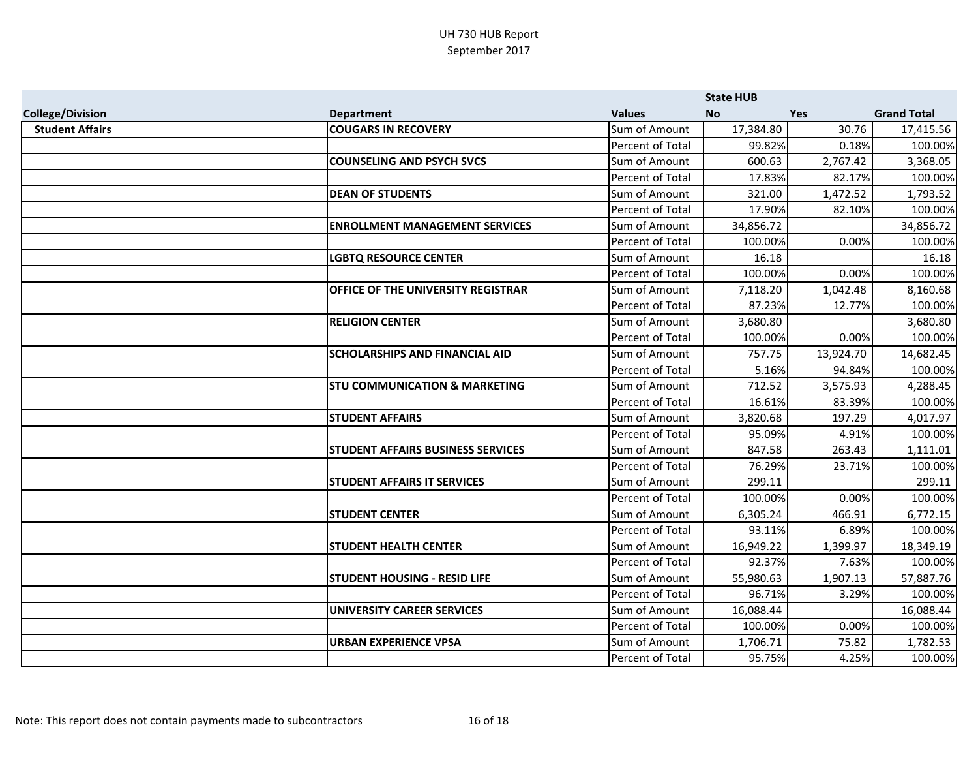|                         |                                           |                         | <b>State HUB</b> |           |                    |
|-------------------------|-------------------------------------------|-------------------------|------------------|-----------|--------------------|
| <b>College/Division</b> | <b>Department</b>                         | <b>Values</b>           | <b>No</b>        | Yes       | <b>Grand Total</b> |
| <b>Student Affairs</b>  | <b>COUGARS IN RECOVERY</b>                | Sum of Amount           | 17,384.80        | 30.76     | 17,415.56          |
|                         |                                           | Percent of Total        | 99.82%           | 0.18%     | 100.00%            |
|                         | <b>COUNSELING AND PSYCH SVCS</b>          | Sum of Amount           | 600.63           | 2,767.42  | 3,368.05           |
|                         |                                           | Percent of Total        | 17.83%           | 82.17%    | 100.00%            |
|                         | <b>DEAN OF STUDENTS</b>                   | Sum of Amount           | 321.00           | 1,472.52  | 1,793.52           |
|                         |                                           | <b>Percent of Total</b> | 17.90%           | 82.10%    | 100.00%            |
|                         | <b>ENROLLMENT MANAGEMENT SERVICES</b>     | Sum of Amount           | 34,856.72        |           | 34,856.72          |
|                         |                                           | Percent of Total        | 100.00%          | 0.00%     | 100.00%            |
|                         | <b>LGBTQ RESOURCE CENTER</b>              | Sum of Amount           | 16.18            |           | 16.18              |
|                         |                                           | Percent of Total        | 100.00%          | 0.00%     | 100.00%            |
|                         | <b>OFFICE OF THE UNIVERSITY REGISTRAR</b> | Sum of Amount           | 7,118.20         | 1,042.48  | 8,160.68           |
|                         |                                           | Percent of Total        | 87.23%           | 12.77%    | 100.00%            |
|                         | <b>RELIGION CENTER</b>                    | Sum of Amount           | 3,680.80         |           | 3,680.80           |
|                         |                                           | Percent of Total        | 100.00%          | 0.00%     | 100.00%            |
|                         | <b>SCHOLARSHIPS AND FINANCIAL AID</b>     | Sum of Amount           | 757.75           | 13,924.70 | 14,682.45          |
|                         |                                           | Percent of Total        | 5.16%            | 94.84%    | 100.00%            |
|                         | <b>STU COMMUNICATION &amp; MARKETING</b>  | Sum of Amount           | 712.52           | 3,575.93  | 4,288.45           |
|                         |                                           | Percent of Total        | 16.61%           | 83.39%    | 100.00%            |
|                         | <b>STUDENT AFFAIRS</b>                    | Sum of Amount           | 3,820.68         | 197.29    | 4,017.97           |
|                         |                                           | <b>Percent of Total</b> | 95.09%           | 4.91%     | 100.00%            |
|                         | <b>STUDENT AFFAIRS BUSINESS SERVICES</b>  | Sum of Amount           | 847.58           | 263.43    | 1,111.01           |
|                         |                                           | Percent of Total        | 76.29%           | 23.71%    | 100.00%            |
|                         | <b>STUDENT AFFAIRS IT SERVICES</b>        | Sum of Amount           | 299.11           |           | 299.11             |
|                         |                                           | Percent of Total        | 100.00%          | 0.00%     | 100.00%            |
|                         | <b>STUDENT CENTER</b>                     | Sum of Amount           | 6,305.24         | 466.91    | 6,772.15           |
|                         |                                           | Percent of Total        | 93.11%           | 6.89%     | 100.00%            |
|                         | <b>STUDENT HEALTH CENTER</b>              | Sum of Amount           | 16,949.22        | 1,399.97  | 18,349.19          |
|                         |                                           | Percent of Total        | 92.37%           | 7.63%     | 100.00%            |
|                         | <b>STUDENT HOUSING - RESID LIFE</b>       | Sum of Amount           | 55,980.63        | 1,907.13  | 57,887.76          |
|                         |                                           | Percent of Total        | 96.71%           | 3.29%     | 100.00%            |
|                         | UNIVERSITY CAREER SERVICES                | Sum of Amount           | 16,088.44        |           | 16,088.44          |
|                         |                                           | Percent of Total        | 100.00%          | 0.00%     | 100.00%            |
|                         | <b>URBAN EXPERIENCE VPSA</b>              | Sum of Amount           | 1,706.71         | 75.82     | 1,782.53           |
|                         |                                           | Percent of Total        | 95.75%           | 4.25%     | 100.00%            |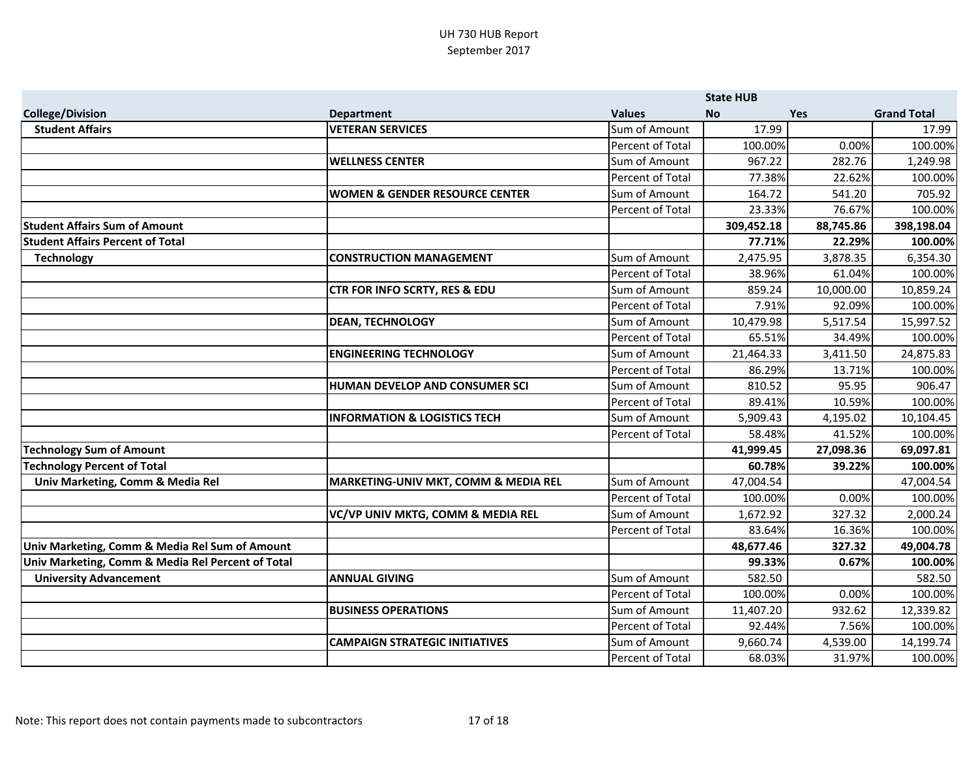|                                                   |                                           |                         | <b>State HUB</b> |           |                    |
|---------------------------------------------------|-------------------------------------------|-------------------------|------------------|-----------|--------------------|
| <b>College/Division</b>                           | <b>Department</b>                         | <b>Values</b>           | <b>No</b>        | Yes       | <b>Grand Total</b> |
| <b>Student Affairs</b>                            | <b>VETERAN SERVICES</b>                   | Sum of Amount           | 17.99            |           | 17.99              |
|                                                   |                                           | Percent of Total        | 100.00%          | 0.00%     | 100.00%            |
|                                                   | <b>WELLNESS CENTER</b>                    | Sum of Amount           | 967.22           | 282.76    | 1,249.98           |
|                                                   |                                           | Percent of Total        | 77.38%           | 22.62%    | 100.00%            |
|                                                   | <b>WOMEN &amp; GENDER RESOURCE CENTER</b> | Sum of Amount           | 164.72           | 541.20    | 705.92             |
|                                                   |                                           | Percent of Total        | 23.33%           | 76.67%    | 100.00%            |
| <b>Student Affairs Sum of Amount</b>              |                                           |                         | 309,452.18       | 88,745.86 | 398,198.04         |
| <b>Student Affairs Percent of Total</b>           |                                           |                         | 77.71%           | 22.29%    | 100.00%            |
| <b>Technology</b>                                 | <b>CONSTRUCTION MANAGEMENT</b>            | Sum of Amount           | 2,475.95         | 3,878.35  | 6,354.30           |
|                                                   |                                           | <b>Percent of Total</b> | 38.96%           | 61.04%    | 100.00%            |
|                                                   | <b>CTR FOR INFO SCRTY, RES &amp; EDU</b>  | Sum of Amount           | 859.24           | 10,000.00 | 10,859.24          |
|                                                   |                                           | Percent of Total        | 7.91%            | 92.09%    | 100.00%            |
|                                                   | <b>DEAN, TECHNOLOGY</b>                   | Sum of Amount           | 10,479.98        | 5,517.54  | 15,997.52          |
|                                                   |                                           | Percent of Total        | 65.51%           | 34.49%    | 100.00%            |
|                                                   | <b>ENGINEERING TECHNOLOGY</b>             | Sum of Amount           | 21,464.33        | 3,411.50  | 24,875.83          |
|                                                   |                                           | Percent of Total        | 86.29%           | 13.71%    | 100.00%            |
|                                                   | HUMAN DEVELOP AND CONSUMER SCI            | Sum of Amount           | 810.52           | 95.95     | 906.47             |
|                                                   |                                           | Percent of Total        | 89.41%           | 10.59%    | 100.00%            |
|                                                   | <b>INFORMATION &amp; LOGISTICS TECH</b>   | Sum of Amount           | 5,909.43         | 4,195.02  | 10,104.45          |
|                                                   |                                           | Percent of Total        | 58.48%           | 41.52%    | 100.00%            |
| <b>Technology Sum of Amount</b>                   |                                           |                         | 41,999.45        | 27,098.36 | 69,097.81          |
| <b>Technology Percent of Total</b>                |                                           |                         | 60.78%           | 39.22%    | 100.00%            |
| Univ Marketing, Comm & Media Rel                  | MARKETING-UNIV MKT, COMM & MEDIA REL      | Sum of Amount           | 47,004.54        |           | 47,004.54          |
|                                                   |                                           | Percent of Total        | 100.00%          | 0.00%     | 100.00%            |
|                                                   | VC/VP UNIV MKTG, COMM & MEDIA REL         | Sum of Amount           | 1,672.92         | 327.32    | 2,000.24           |
|                                                   |                                           | Percent of Total        | 83.64%           | 16.36%    | 100.00%            |
| Univ Marketing, Comm & Media Rel Sum of Amount    |                                           |                         | 48,677.46        | 327.32    | 49,004.78          |
| Univ Marketing, Comm & Media Rel Percent of Total |                                           |                         | 99.33%           | 0.67%     | 100.00%            |
| <b>University Advancement</b>                     | <b>ANNUAL GIVING</b>                      | Sum of Amount           | 582.50           |           | 582.50             |
|                                                   |                                           | Percent of Total        | 100.00%          | 0.00%     | 100.00%            |
|                                                   | <b>BUSINESS OPERATIONS</b>                | Sum of Amount           | 11,407.20        | 932.62    | 12,339.82          |
|                                                   |                                           | Percent of Total        | 92.44%           | 7.56%     | 100.00%            |
|                                                   | <b>CAMPAIGN STRATEGIC INITIATIVES</b>     | Sum of Amount           | 9,660.74         | 4,539.00  | 14,199.74          |
|                                                   |                                           | Percent of Total        | 68.03%           | 31.97%    | 100.00%            |